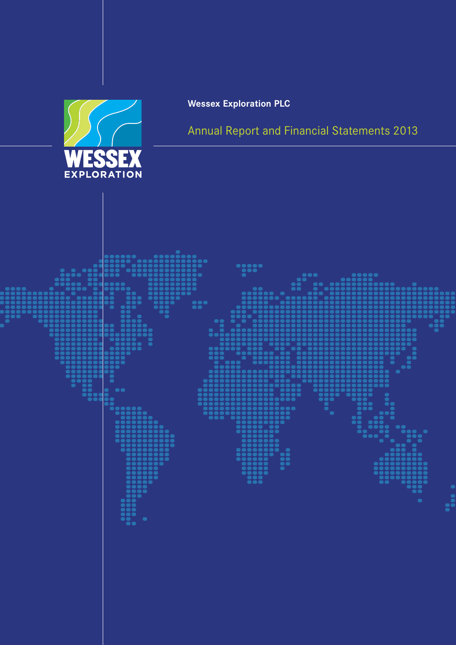

# **Wessex Exploration PLC**

Annual Report and Financial Statements 2013

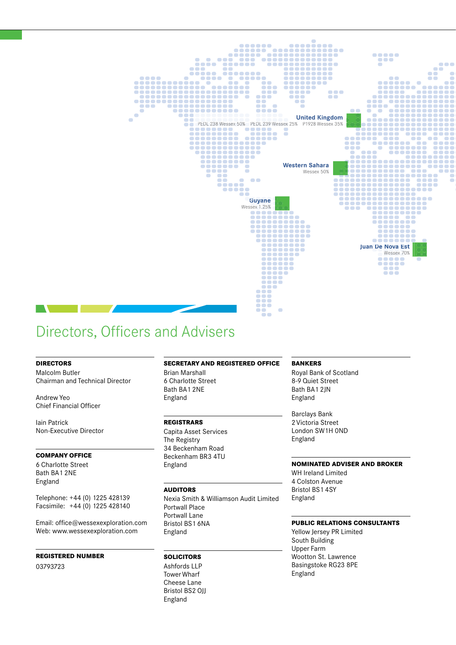

# Directors, Officers and Advisers

**directorS**

Malcolm Butler Chairman and Technical Director

Andrew Yeo Chief Financial Officer

**Iain Patrick** Non-Executive Director

#### **comPany office**

6 Charlotte Street Bath BA1 2ne England

Telephone: +44 (0) 1225 428139 Facsimile: +44 (0) 1225 428140

Email: office@wessexexploration.com Web: www.wessexexploration.com

## **regiStered numBer**

03793723

### **Secretary and regiStered office**

Brian Marshall 6 Charlotte Street Bath BA1 2ne England

# **regiStrarS**

Capita Asset Services The Registry 34 Beckenham Road Beckenham BR3 4Tu England

# **auditorS**

nexia Smith & Williamson Audit Limited Portwall Place Portwall Lane Bristol BS1 6NA England

# **SoLicitorS**

Ashfords LLP Tower Wharf Cheese Lane Bristol BS2 OJJ England

#### **BanKerS**

Royal Bank of Scotland 8-9 Quiet Street Bath BA1 2JN England

Barclays Bank 2 Victoria Street London SW1H 0nD England

#### **nominated adViSer and BroKer**

WH Ireland Limited 4 Colston Avenue Bristol BS1 4SY England

#### **PUBLIC RELATIONS CONSULTANTS**

Yellow Jersey PR Limited South Building upper Farm Wootton St. Lawrence Basingstoke RG23 8Pe England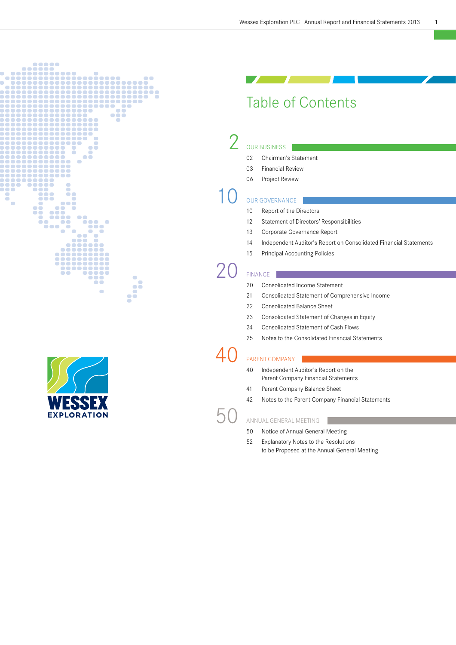# Table of Contents

# OUr BUSinESS  $\overline{\mathcal{L}}$

10

 $\lambda$ 

40

50

- 02 Chairman's Statement 03 Financial Review
- 06 Project Review

# OUR GOVERNANCE

- 10 Report of the Directors
- 12 Statement of Directors' Responsibilities
- 13 Corporate Governance Report
- 14 Independent Auditor's Report on Consolidated Financial Statements
- 15 Principal Accounting Policies

п

# FinanCE

- 20 Consolidated income Statement
- 21 Consolidated Statement of Comprehensive income
- 22 Consolidated Balance Sheet
- 23 Consolidated Statement of Changes in Equity
- 24 Consolidated Statement of Cash Flows
- 25 Notes to the Consolidated Financial Statements

# ParEnT COMPanY

- 40 Independent Auditor's Report on the Parent Company Financial Statements
- 41 Parent Company Balance Sheet
- 42 Notes to the Parent Company Financial Statements

### annUaL GEnEraL MEETinG

- 50 Notice of Annual General Meeting
- 52 Explanatory Notes to the Resolutions to be Proposed at the Annual General Meeting

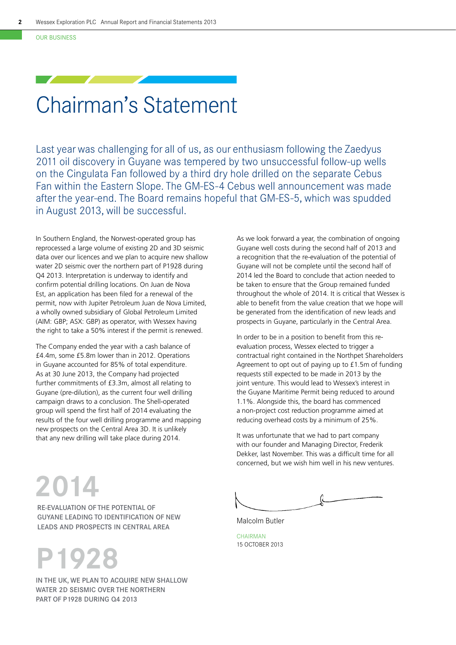# Chairman's Statement

Last year was challenging for all of us, as our enthusiasm following the Zaedyus 2011 oil discovery in Guyane was tempered by two unsuccessful follow-up wells on the Cingulata Fan followed by a third dry hole drilled on the separate Cebus Fan within the Eastern Slope. The GM-ES-4 Cebus well announcement was made after the year-end. The Board remains hopeful that GM-ES-5, which was spudded in August 2013, will be successful.

In Southern England, the Norwest-operated group has reprocessed a large volume of existing 2D and 3D seismic data over our licences and we plan to acquire new shallow water 2D seismic over the northern part of P1928 during Q4 2013. Interpretation is underway to identify and confirm potential drilling locations. On Juan de Nova Est, an application has been filed for a renewal of the permit, now with Jupiter Petroleum Juan de Nova Limited, a wholly owned subsidiary of Global Petroleum Limited (AIM: GBP; ASX: GBP) as operator, with Wessex having the right to take a 50% interest if the permit is renewed.

The Company ended the year with a cash balance of £4.4m, some £5.8m lower than in 2012. Operations in Guyane accounted for 85% of total expenditure. As at 30 June 2013, the Company had projected further commitments of £3.3m, almost all relating to Guyane (pre-dilution), as the current four well drilling campaign draws to a conclusion. The Shell-operated group will spend the first half of 2014 evaluating the results of the four well drilling programme and mapping new prospects on the Central Area 3D. It is unlikely that any new drilling will take place during 2014.

As we look forward a year, the combination of ongoing Guyane well costs during the second half of 2013 and a recognition that the re-evaluation of the potential of Guyane will not be complete until the second half of 2014 led the Board to conclude that action needed to be taken to ensure that the Group remained funded throughout the whole of 2014. It is critical that Wessex is able to benefit from the value creation that we hope will be generated from the identification of new leads and prospects in Guyane, particularly in the Central Area.

In order to be in a position to benefit from this reevaluation process, Wessex elected to trigger a contractual right contained in the Northpet Shareholders Agreement to opt out of paying up to £1.5m of funding requests still expected to be made in 2013 by the joint venture. This would lead to Wessex's interest in the Guyane Maritime Permit being reduced to around 1.1%. Alongside this, the board has commenced a non-project cost reduction programme aimed at reducing overhead costs by a minimum of 25%.

It was unfortunate that we had to part company with our founder and Managing Director, Frederik Dekker, last November. This was a difficult time for all concerned, but we wish him well in his new ventures.

Malcolm Butler

**CHAIRMAN** 15 OCTOBER 2013

# **2014**

Re-evaluation of the potential of Guyane leading to identification of new leads and prospects in Central Area

# **P1928**

IN THE UK, WE PLAN TO ACQUIRE NEW SHALLOW water 2D seismic over the northern part of P1928 during Q4 2013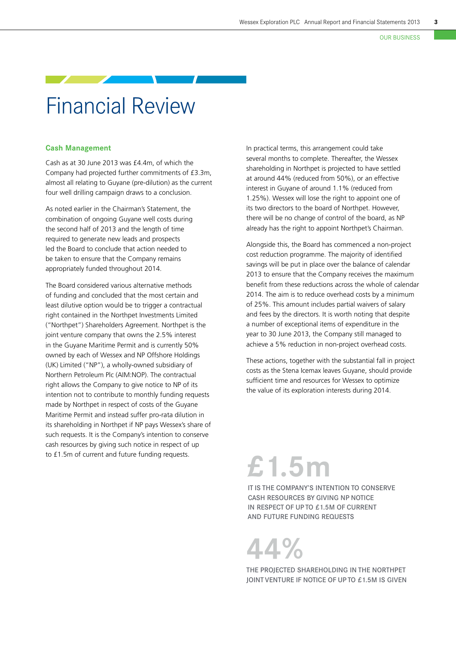# Financial Review

# **Cash Management**

Cash as at 30 June 2013 was £4.4m, of which the Company had projected further commitments of £3.3m, almost all relating to Guyane (pre-dilution) as the current four well drilling campaign draws to a conclusion.

As noted earlier in the Chairman's Statement, the combination of ongoing Guyane well costs during the second half of 2013 and the length of time required to generate new leads and prospects led the Board to conclude that action needed to be taken to ensure that the Company remains appropriately funded throughout 2014.

The Board considered various alternative methods of funding and concluded that the most certain and least dilutive option would be to trigger a contractual right contained in the Northpet Investments Limited ("Northpet") Shareholders Agreement. Northpet is the joint venture company that owns the 2.5% interest in the Guyane Maritime Permit and is currently 50% owned by each of Wessex and NP Offshore Holdings (UK) Limited ("NP"), a wholly-owned subsidiary of Northern Petroleum Plc (AIM:NOP). The contractual right allows the Company to give notice to NP of its intention not to contribute to monthly funding requests made by Northpet in respect of costs of the Guyane Maritime Permit and instead suffer pro-rata dilution in its shareholding in Northpet if NP pays Wessex's share of such requests. It is the Company's intention to conserve cash resources by giving such notice in respect of up to £1.5m of current and future funding requests.

In practical terms, this arrangement could take several months to complete. Thereafter, the Wessex shareholding in Northpet is projected to have settled at around 44% (reduced from 50%), or an effective interest in Guyane of around 1.1% (reduced from 1.25%). Wessex will lose the right to appoint one of its two directors to the board of Northpet. However, there will be no change of control of the board, as NP already has the right to appoint Northpet's Chairman.

Alongside this, the Board has commenced a non-project cost reduction programme. The majority of identified savings will be put in place over the balance of calendar 2013 to ensure that the Company receives the maximum benefit from these reductions across the whole of calendar 2014. The aim is to reduce overhead costs by a minimum of 25%. This amount includes partial waivers of salary and fees by the directors. It is worth noting that despite a number of exceptional items of expenditure in the year to 30 June 2013, the Company still managed to achieve a 5% reduction in non-project overhead costs.

These actions, together with the substantial fall in project costs as the Stena Icemax leaves Guyane, should provide sufficient time and resources for Wessex to optimize the value of its exploration interests during 2014.

# **£1.5m**

It is the Company's intention to conserve cash resources by giving NP notice in respect of up to £1.5m of current and future funding requests

**44%**

The projected shareholding in the Northpet joint venture If notice of up to £1.5m is given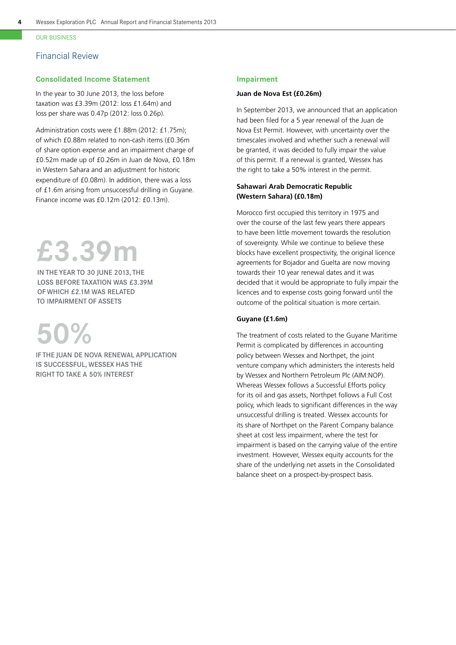# Financial Review

### **Consolidated Income Statement**

In the year to 30 June 2013, the loss before taxation was £3.39m (2012: loss £1.64m) and loss per share was 0.47p (2012: loss 0.26p).

Administration costs were £1.88m (2012: £1.75m); of which £0.88m related to non-cash items (£0.36m of share option expense and an impairment charge of £0.52m made up of £0.26m in Juan de Nova, £0.18m in Western Sahara and an adjustment for historic expenditure of £0.08m). In addition, there was a loss of £1.6m arising from unsuccessful drilling in Guyane. Finance income was £0.12m (2012: £0.13m).

**£3.39m**

In the year to 30 June 2013, the loss before taxation was £3.39m of which £2.1m was related to impairment of assets

# **50%**

If the Juan de Nova renewal application is successful, Wessex has the right to take a 50% interest

# **Impairment**

### **Juan de Nova Est (£0.26m)**

In September 2013, we announced that an application had been filed for a 5 year renewal of the Juan de Nova Est Permit. However, with uncertainty over the timescales involved and whether such a renewal will be granted, it was decided to fully impair the value of this permit. If a renewal is granted, Wessex has the right to take a 50% interest in the permit.

# **Sahawari Arab Democratic Republic (Western Sahara) (£0.18m)**

Morocco first occupied this territory in 1975 and over the course of the last few years there appears to have been little movement towards the resolution of sovereignty. While we continue to believe these blocks have excellent prospectivity, the original licence agreements for Bojador and Guelta are now moving towards their 10 year renewal dates and it was decided that it would be appropriate to fully impair the licences and to expense costs going forward until the outcome of the political situation is more certain.

#### **Guyane (£1.6m)**

The treatment of costs related to the Guyane Maritime Permit is complicated by differences in accounting policy between Wessex and Northpet, the joint venture company which administers the interests held by Wessex and Northern Petroleum Plc (AIM:NOP). Whereas Wessex follows a Successful Efforts policy for its oil and gas assets, Northpet follows a Full Cost policy, which leads to significant differences in the way unsuccessful drilling is treated. Wessex accounts for its share of Northpet on the Parent Company balance sheet at cost less impairment, where the test for impairment is based on the carrying value of the entire investment. However, Wessex equity accounts for the share of the underlying net assets in the Consolidated balance sheet on a prospect-by-prospect basis.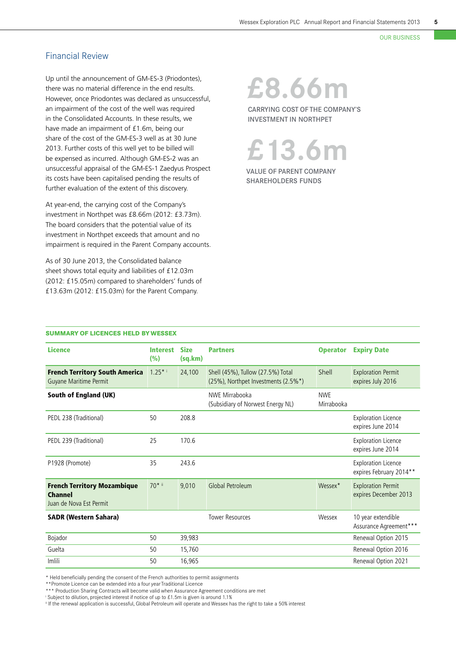# Financial Review

Up until the announcement of GM-ES-3 (Priodontes), there was no material difference in the end results. However, once Priodontes was declared as unsuccessful, an impairment of the cost of the well was required in the Consolidated Accounts. In these results, we have made an impairment of £1.6m, being our share of the cost of the GM-ES-3 well as at 30 June 2013. Further costs of this well yet to be billed will be expensed as incurred. Although GM-ES-2 was an unsuccessful appraisal of the GM-ES-1 Zaedyus Prospect its costs have been capitalised pending the results of further evaluation of the extent of this discovery.

At year-end, the carrying cost of the Company's investment in Northpet was £8.66m (2012: £3.73m). The board considers that the potential value of its investment in Northpet exceeds that amount and no impairment is required in the Parent Company accounts.

As of 30 June 2013, the Consolidated balance sheet shows total equity and liabilities of £12.03m (2012: £15.05m) compared to shareholders' funds of £13.63m (2012: £15.03m) for the Parent Company.

**Summary of Licences Held By Wessex**

# **£8.66m**

carrying cost of the Company's investment in Northpet

**£13.6m**

Value of Parent Company SHAREHOLDERS FUNDS

| <b>Licence</b>                                                                  | <b>Interest</b><br>$(\% )$ | <b>Size</b><br>(sq.km) | <b>Partners</b>                                                          | <b>Operator</b>          | <b>Expiry Date</b>                                    |
|---------------------------------------------------------------------------------|----------------------------|------------------------|--------------------------------------------------------------------------|--------------------------|-------------------------------------------------------|
| <b>French Territory South America</b><br>Guyane Maritime Permit                 | $1.25*$                    | 24,100                 | Shell (45%), Tullow (27.5%) Total<br>(25%), Northpet Investments (2.5%*) | Shell                    | <b>Exploration Permit</b><br>expires July 2016        |
| <b>South of England (UK)</b>                                                    |                            |                        | NWE Mirrabooka<br>(Subsidiary of Norwest Energy NL)                      | <b>NWE</b><br>Mirrabooka |                                                       |
| PEDL 238 (Traditional)                                                          | 50                         | 208.8                  |                                                                          |                          | <b>Exploration Licence</b><br>expires June 2014       |
| PEDL 239 (Traditional)                                                          | 25                         | 170.6                  |                                                                          |                          | <b>Exploration Licence</b><br>expires June 2014       |
| P1928 (Promote)                                                                 | 35                         | 243.6                  |                                                                          |                          | <b>Exploration Licence</b><br>expires February 2014** |
| <b>French Territory Mozambique</b><br><b>Channel</b><br>Juan de Nova Est Permit | $70*$ ii                   | 9,010                  | Global Petroleum                                                         | Wessex*                  | <b>Exploration Permit</b><br>expires December 2013    |
| <b>SADR (Western Sahara)</b>                                                    |                            |                        | <b>Tower Resources</b>                                                   | Wessex                   | 10 year extendible<br>Assurance Agreement***          |
| Bojador                                                                         | 50                         | 39,983                 |                                                                          |                          | Renewal Option 2015                                   |
| Guelta                                                                          | 50                         | 15,760                 |                                                                          |                          | Renewal Option 2016                                   |
| Imlili                                                                          | 50                         | 16,965                 |                                                                          |                          | Renewal Option 2021                                   |

\* Held beneficially pending the consent of the French authorities to permit assignments

\*\*Promote Licence can be extended into a four year Traditional Licence

\*\*\* Production Sharing Contracts will become valid when Assurance Agreement conditions are met

 $^\circ$  Subject to dilution, projected interest if notice of up to £1.5m is given is around 1.1%

ii If the renewal application is successful, Global Petroleum will operate and Wessex has the right to take a 50% interest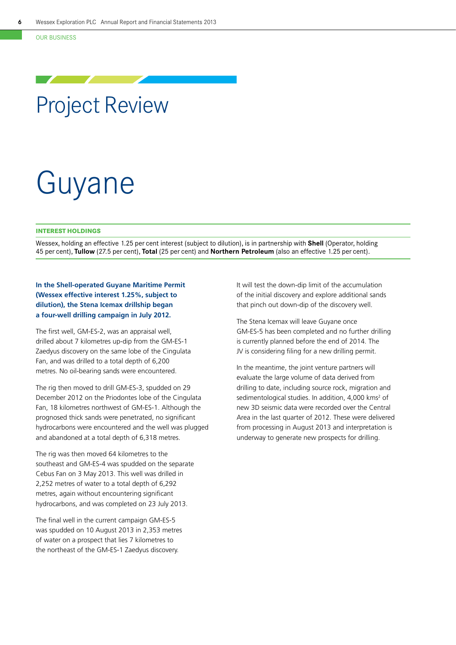# Project Review

# Guyane

### **Interest Holdings**

Wessex, holding an effective 1.25 per cent interest (subject to dilution), is in partnership with **Shell** (Operator, holding 45 per cent), **Tullow** (27.5 per cent), **Total** (25 per cent) and **Northern Petroleum** (also an effective 1.25 per cent).

**In the Shell-operated Guyane Maritime Permit (Wessex effective interest 1.25%, subject to dilution), the Stena Icemax drillship began a four-well drilling campaign in July 2012.** 

The first well, GM-ES-2, was an appraisal well, drilled about 7 kilometres up-dip from the GM-ES-1 Zaedyus discovery on the same lobe of the Cingulata Fan, and was drilled to a total depth of 6,200 metres. No oil-bearing sands were encountered.

The rig then moved to drill GM-ES-3, spudded on 29 December 2012 on the Priodontes lobe of the Cingulata Fan, 18 kilometres northwest of GM-ES-1. Although the prognosed thick sands were penetrated, no significant hydrocarbons were encountered and the well was plugged and abandoned at a total depth of 6,318 metres.

The rig was then moved 64 kilometres to the southeast and GM-ES-4 was spudded on the separate Cebus Fan on 3 May 2013. This well was drilled in 2,252 metres of water to a total depth of 6,292 metres, again without encountering significant hydrocarbons, and was completed on 23 July 2013.

The final well in the current campaign GM-ES-5 was spudded on 10 August 2013 in 2,353 metres of water on a prospect that lies 7 kilometres to the northeast of the GM-ES-1 Zaedyus discovery.

It will test the down-dip limit of the accumulation of the initial discovery and explore additional sands that pinch out down-dip of the discovery well.

The Stena Icemax will leave Guyane once GM-ES-5 has been completed and no further drilling is currently planned before the end of 2014. The JV is considering filing for a new drilling permit.

In the meantime, the joint venture partners will evaluate the large volume of data derived from drilling to date, including source rock, migration and sedimentological studies. In addition, 4,000 kms<sup>2</sup> of new 3D seismic data were recorded over the Central Area in the last quarter of 2012. These were delivered from processing in August 2013 and interpretation is underway to generate new prospects for drilling.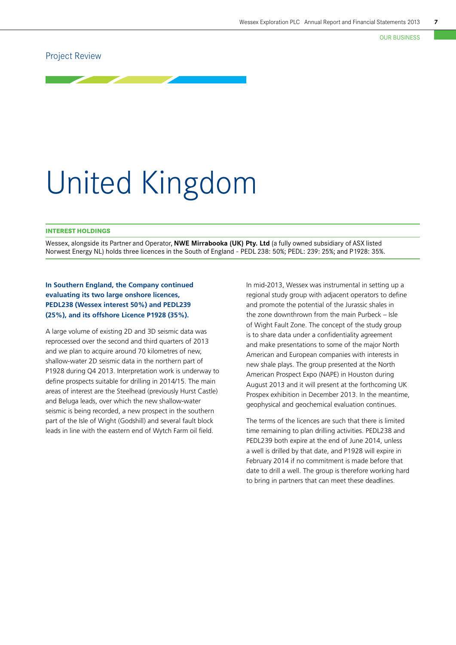# Project Review

# United Kingdom

## **Interest Holdings**

Wessex, alongside its Partner and Operator, **NWE Mirrabooka (UK) Pty. Ltd** (a fully owned subsidiary of ASX listed Norwest Energy NL) holds three licences in the South of England - PEDL 238: 50%; PEDL: 239: 25%; and P1928: 35%.

# **In Southern England, the Company continued evaluating its two large onshore licences, PEDL238 (Wessex interest 50%) and PEDL239 (25%), and its offshore Licence P1928 (35%).**

A large volume of existing 2D and 3D seismic data was reprocessed over the second and third quarters of 2013 and we plan to acquire around 70 kilometres of new, shallow-water 2D seismic data in the northern part of P1928 during Q4 2013. Interpretation work is underway to define prospects suitable for drilling in 2014/15. The main areas of interest are the Steelhead (previously Hurst Castle) and Beluga leads, over which the new shallow-water seismic is being recorded, a new prospect in the southern part of the Isle of Wight (Godshill) and several fault block leads in line with the eastern end of Wytch Farm oil field.

In mid-2013, Wessex was instrumental in setting up a regional study group with adjacent operators to define and promote the potential of the Jurassic shales in the zone downthrown from the main Purbeck – Isle of Wight Fault Zone. The concept of the study group is to share data under a confidentiality agreement and make presentations to some of the major North American and European companies with interests in new shale plays. The group presented at the North American Prospect Expo (NAPE) in Houston during August 2013 and it will present at the forthcoming UK Prospex exhibition in December 2013. In the meantime, geophysical and geochemical evaluation continues.

The terms of the licences are such that there is limited time remaining to plan drilling activities. PEDL238 and PEDL239 both expire at the end of June 2014, unless a well is drilled by that date, and P1928 will expire in February 2014 if no commitment is made before that date to drill a well. The group is therefore working hard to bring in partners that can meet these deadlines.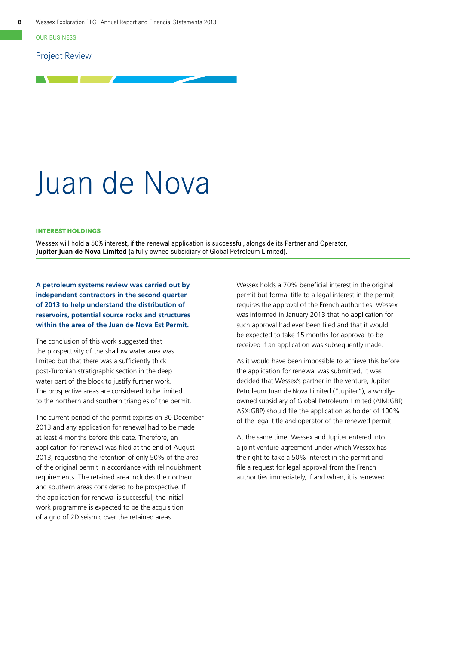**8**

# Project Review

# Juan de Nova

#### **Interest Holdings**

Wessex will hold a 50% interest, if the renewal application is successful, alongside its Partner and Operator, **Jupiter Juan de Nova Limited** (a fully owned subsidiary of Global Petroleum Limited).

**A petroleum systems review was carried out by independent contractors in the second quarter of 2013 to help understand the distribution of reservoirs, potential source rocks and structures within the area of the Juan de Nova Est Permit.** 

The conclusion of this work suggested that the prospectivity of the shallow water area was limited but that there was a sufficiently thick post-Turonian stratigraphic section in the deep water part of the block to justify further work. The prospective areas are considered to be limited to the northern and southern triangles of the permit.

The current period of the permit expires on 30 December 2013 and any application for renewal had to be made at least 4 months before this date. Therefore, an application for renewal was filed at the end of August 2013, requesting the retention of only 50% of the area of the original permit in accordance with relinquishment requirements. The retained area includes the northern and southern areas considered to be prospective. If the application for renewal is successful, the initial work programme is expected to be the acquisition of a grid of 2D seismic over the retained areas.

Wessex holds a 70% beneficial interest in the original permit but formal title to a legal interest in the permit requires the approval of the French authorities. Wessex was informed in January 2013 that no application for such approval had ever been filed and that it would be expected to take 15 months for approval to be received if an application was subsequently made.

As it would have been impossible to achieve this before the application for renewal was submitted, it was decided that Wessex's partner in the venture, Jupiter Petroleum Juan de Nova Limited ("Jupiter"), a whollyowned subsidiary of Global Petroleum Limited (AIM:GBP, ASX:GBP) should file the application as holder of 100% of the legal title and operator of the renewed permit.

At the same time, Wessex and Jupiter entered into a joint venture agreement under which Wessex has the right to take a 50% interest in the permit and file a request for legal approval from the French authorities immediately, if and when, it is renewed.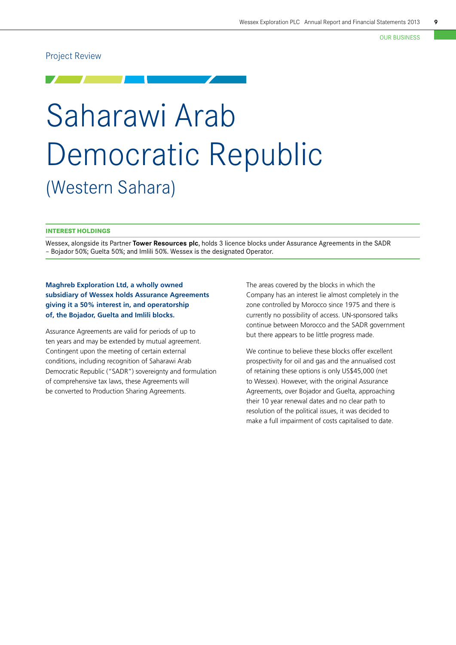Project Review



# Saharawi Arab Democratic Republic (Western Sahara)

# **Interest Holdings**

Wessex, alongside its Partner **Tower Resources plc**, holds 3 licence blocks under Assurance Agreements in the SADR – Bojador 50%; Guelta 50%; and Imlili 50%. Wessex is the designated Operator.

**Maghreb Exploration Ltd, a wholly owned subsidiary of Wessex holds Assurance Agreements giving it a 50% interest in, and operatorship of, the Bojador, Guelta and Imlili blocks.** 

Assurance Agreements are valid for periods of up to ten years and may be extended by mutual agreement. Contingent upon the meeting of certain external conditions, including recognition of Saharawi Arab Democratic Republic ("SADR") sovereignty and formulation of comprehensive tax laws, these Agreements will be converted to Production Sharing Agreements.

The areas covered by the blocks in which the Company has an interest lie almost completely in the zone controlled by Morocco since 1975 and there is currently no possibility of access. UN-sponsored talks continue between Morocco and the SADR government but there appears to be little progress made.

We continue to believe these blocks offer excellent prospectivity for oil and gas and the annualised cost of retaining these options is only US\$45,000 (net to Wessex). However, with the original Assurance Agreements, over Bojador and Guelta, approaching their 10 year renewal dates and no clear path to resolution of the political issues, it was decided to make a full impairment of costs capitalised to date.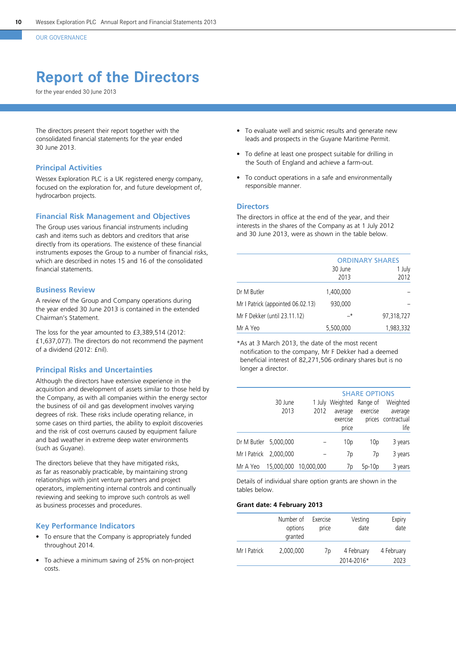# **Report of the Directors**

for the year ended 30 June 2013

The directors present their report together with the consolidated financial statements for the year ended 30 June 2013.

# **Principal Activities**

Wessex Exploration PLC is a UK registered energy company, focused on the exploration for, and future development of, hydrocarbon projects.

#### **Financial Risk Management and Objectives**

The Group uses various financial instruments including cash and items such as debtors and creditors that arise directly from its operations. The existence of these financial instruments exposes the Group to a number of financial risks, which are described in notes 15 and 16 of the consolidated financial statements.

#### **Business Review**

A review of the Group and Company operations during the year ended 30 June 2013 is contained in the extended Chairman's Statement.

The loss for the year amounted to £3,389,514 (2012: £1,637,077). The directors do not recommend the payment of a dividend (2012: £nil).

# **Principal Risks and Uncertainties**

Although the directors have extensive experience in the acquisition and development of assets similar to those held by the Company, as with all companies within the energy sector the business of oil and gas development involves varying degrees of risk. These risks include operating reliance, in some cases on third parties, the ability to exploit discoveries and the risk of cost overruns caused by equipment failure and bad weather in extreme deep water environments (such as Guyane).

The directors believe that they have mitigated risks, as far as reasonably practicable, by maintaining strong relationships with joint venture partners and project operators, implementing internal controls and continually reviewing and seeking to improve such controls as well as business processes and procedures.

#### **Key Performance Indicators**

- To ensure that the Company is appropriately funded throughout 2014.
- To achieve a minimum saving of 25% on non-project costs.
- To evaluate well and seismic results and generate new leads and prospects in the Guyane Maritime Permit.
- To define at least one prospect suitable for drilling in the South of England and achieve a farm-out.
- To conduct operations in a safe and environmentally responsible manner.

#### **Directors**

The directors in office at the end of the year, and their interests in the shares of the Company as at 1 July 2012 and 30 June 2013, were as shown in the table below.

|                                   | <b>ORDINARY SHARES</b> |            |  |
|-----------------------------------|------------------------|------------|--|
|                                   | 30 June                | 1 July     |  |
|                                   | 2013                   | 2012       |  |
| Dr M Butler                       | 1,400,000              |            |  |
| Mr I Patrick (appointed 06.02.13) | 930,000                |            |  |
| Mr F Dekker (until 23.11.12)      | $\rightarrow$          | 97,318,727 |  |
| Mr A Yeo                          | 5,500,000              | 1,983,332  |  |

\*As at 3 March 2013, the date of the most recent notification to the company, Mr F Dekker had a deemed beneficial interest of 82,271,506 ordinary shares but is no longer a director.

|          |                        |            |                              | <b>SHARE OPTIONS</b> |                                                                            |
|----------|------------------------|------------|------------------------------|----------------------|----------------------------------------------------------------------------|
|          | 30 June<br>2013        | 2012       | average<br>exercise<br>price | exercise             | 1 July Weighted Range of Weighted<br>average<br>prices contractual<br>life |
|          | Dr M Butler 5,000,000  |            | 10 <sub>p</sub>              | 10p                  | 3 years                                                                    |
|          | Mr I Patrick 2,000,000 |            | 7p                           | 7p                   | 3 years                                                                    |
| Mr A Yeo | 15,000,000             | 10.000.000 | 7p                           | 5p-10p               | 3 years                                                                    |

Details of individual share option grants are shown in the tables below.

#### **Grant date: 4 February 2013**

|              | Number of<br>options<br>granted | Exercise<br>price | Vesting<br>date | Expiry<br>date |
|--------------|---------------------------------|-------------------|-----------------|----------------|
| Mr I Patrick | 2,000,000                       | 7p                | 4 February      | 4 February     |
|              |                                 |                   | 2014-2016*      | 2023           |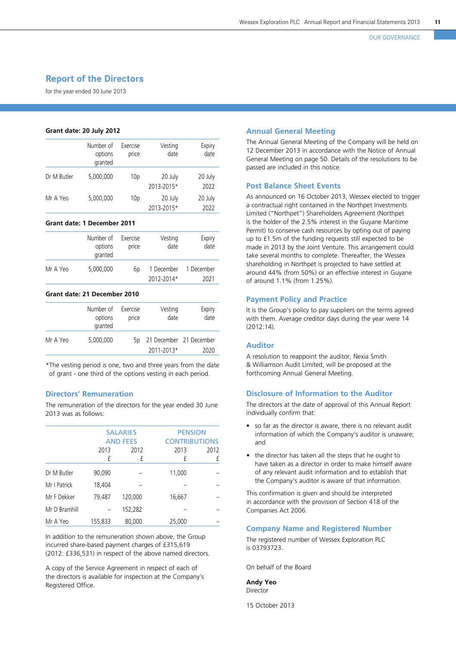# **Report of the Directors**

for the year ended 30 June 2013

#### **Grant date: 20 July 2012**

|             | Number of<br>options<br>granted | Exercise<br>price | Vesting<br>date       | Expiry<br>date  |
|-------------|---------------------------------|-------------------|-----------------------|-----------------|
| Dr M Butler | 5.000.000                       | 10p               | 20 July<br>2013-2015* | 20 July<br>2022 |
| Mr A Yeo    | 5,000,000                       | 10 <sub>p</sub>   | 20 July<br>2013-2015* | 20 July<br>2022 |

#### **Grant date: 1 December 2011**

|          | Number of<br>options<br>granted | Exercise<br>price | Vesting<br>date          | Expiry<br>date     |
|----------|---------------------------------|-------------------|--------------------------|--------------------|
| Mr A Yeo | 5,000,000                       | 6p                | 1 December<br>2012-2014* | 1 December<br>2021 |

#### **Grant date: 21 December 2010**

|          | Number of<br>options<br>granted | Exercise<br>price | Vesting<br>date                          | Expiry<br>date |
|----------|---------------------------------|-------------------|------------------------------------------|----------------|
| Mr A Yeo | 5,000,000                       |                   | 5p 21 December 21 December<br>2011-2013* | 2020           |

\*The vesting period is one, two and three years from the date of grant - one third of the options vesting in each period.

# **Directors' Remuneration**

The remuneration of the directors for the year ended 30 June 2013 was as follows:

|               |         | <b>SALARIES</b> |        | <b>PENSION</b>       |  |  |
|---------------|---------|-----------------|--------|----------------------|--|--|
|               |         | <b>AND FEES</b> |        | <b>CONTRIBUTIONS</b> |  |  |
|               | 2013    | 2012            | 2013   | 2012                 |  |  |
|               | £       | £               | £      | £                    |  |  |
| Dr M Butler   | 90,090  |                 | 11,000 |                      |  |  |
| Mr I Patrick  | 18.404  |                 |        |                      |  |  |
| Mr F Dekker   | 79,487  | 120,000         | 16,667 |                      |  |  |
| Mr D Bramhill |         | 152,282         |        |                      |  |  |
| Mr A Yeo      | 155,833 | 80,000          | 25,000 |                      |  |  |

In addition to the remuneration shown above, the Group incurred share-based payment charges of £315,619 (2012: £336,531) in respect of the above named directors.

A copy of the Service Agreement in respect of each of the directors is available for inspection at the Company's Registered Office.

# **Annual General Meeting**

The Annual General Meeting of the Company will be held on 12 December 2013 in accordance with the Notice of Annual General Meeting on page 50. Details of the resolutions to be passed are included in this notice.

## **Post Balance Sheet Events**

As announced on 16 October 2013, Wessex elected to trigger a contractual right contained in the Northpet Investments Limited ("Northpet") Shareholders Agreement (Northpet is the holder of the 2.5% interest in the Guyane Maritime Permit) to conserve cash resources by opting out of paying up to £1.5m of the funding requests still expected to be made in 2013 by the Joint Venture. This arrangement could take several months to complete. Thereafter, the Wessex shareholding in Northpet is projected to have settled at around 44% (from 50%) or an effective interest in Guyane of around 1.1% (from 1.25%).

# **Payment Policy and Practice**

It is the Group's policy to pay suppliers on the terms agreed with them. Average creditor days during the year were 14 (2012:14).

#### **Auditor**

A resolution to reappoint the auditor, Nexia Smith & Williamson Audit Limited, will be proposed at the forthcoming Annual General Meeting.

## **Disclosure of Information to the Auditor**

The directors at the date of approval of this Annual Report individually confirm that:

- so far as the director is aware, there is no relevant audit information of which the Company's auditor is unaware; and
- the director has taken all the steps that he ought to have taken as a director in order to make himself aware of any relevant audit information and to establish that the Company's auditor is aware of that information.

This confirmation is given and should be interpreted in accordance with the provision of Section 418 of the Companies Act 2006.

#### **Company Name and Registered Number**

The registered number of Wessex Exploration PLC is 03793723.

On behalf of the Board

**Andy Yeo** Director

15 October 2013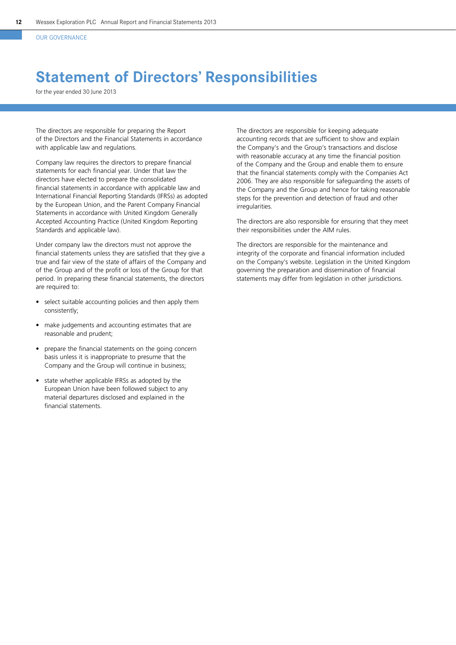# **Statement of Directors' Responsibilities**

for the year ended 30 June 2013

The directors are responsible for preparing the Report of the Directors and the Financial Statements in accordance with applicable law and regulations.

Company law requires the directors to prepare financial statements for each financial year. Under that law the directors have elected to prepare the consolidated financial statements in accordance with applicable law and International Financial Reporting Standards (IFRSs) as adopted by the European Union, and the Parent Company Financial Statements in accordance with United Kingdom Generally Accepted Accounting Practice (United Kingdom Reporting Standards and applicable law).

Under company law the directors must not approve the financial statements unless they are satisfied that they give a true and fair view of the state of affairs of the Company and of the Group and of the profit or loss of the Group for that period. In preparing these financial statements, the directors are required to:

- select suitable accounting policies and then apply them consistently;
- make judgements and accounting estimates that are reasonable and prudent;
- prepare the financial statements on the going concern basis unless it is inappropriate to presume that the Company and the Group will continue in business;
- state whether applicable IFRSs as adopted by the European Union have been followed subject to any material departures disclosed and explained in the financial statements.

The directors are responsible for keeping adequate accounting records that are sufficient to show and explain the Company's and the Group's transactions and disclose with reasonable accuracy at any time the financial position of the Company and the Group and enable them to ensure that the financial statements comply with the Companies Act 2006. They are also responsible for safeguarding the assets of the Company and the Group and hence for taking reasonable steps for the prevention and detection of fraud and other irregularities.

The directors are also responsible for ensuring that they meet their responsibilities under the AIM rules.

The directors are responsible for the maintenance and integrity of the corporate and financial information included on the Company's website. Legislation in the United Kingdom governing the preparation and dissemination of financial statements may differ from legislation in other jurisdictions.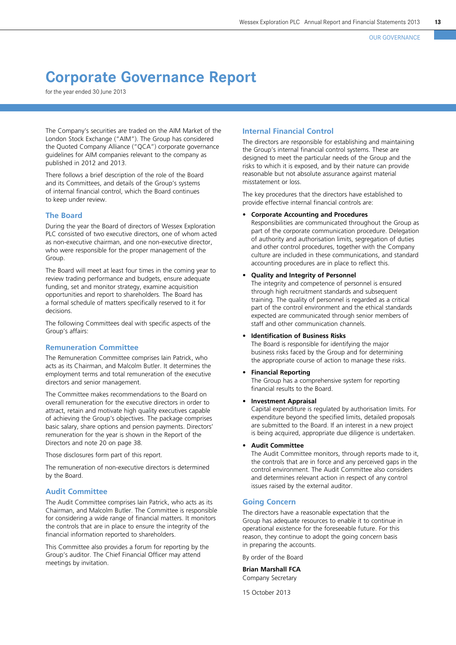# **Corporate Governance Report**

for the year ended 30 June 2013

The Company's securities are traded on the AIM Market of the London Stock Exchange ("AIM"). The Group has considered the Quoted Company Alliance ("QCA") corporate governance guidelines for AIM companies relevant to the company as published in 2012 and 2013.

There follows a brief description of the role of the Board and its Committees, and details of the Group's systems of internal financial control, which the Board continues to keep under review.

## **The Board**

During the year the Board of directors of Wessex Exploration PLC consisted of two executive directors, one of whom acted as non-executive chairman, and one non-executive director, who were responsible for the proper management of the Group

The Board will meet at least four times in the coming year to review trading performance and budgets, ensure adequate funding, set and monitor strategy, examine acquisition opportunities and report to shareholders. The Board has a formal schedule of matters specifically reserved to it for decisions.

The following Committees deal with specific aspects of the Group's affairs:

## **Remuneration Committee**

The Remuneration Committee comprises Iain Patrick, who acts as its Chairman, and Malcolm Butler. It determines the employment terms and total remuneration of the executive directors and senior management.

The Committee makes recommendations to the Board on overall remuneration for the executive directors in order to attract, retain and motivate high quality executives capable of achieving the Group's objectives. The package comprises basic salary, share options and pension payments. Directors' remuneration for the year is shown in the Report of the Directors and note 20 on page 38.

Those disclosures form part of this report.

The remuneration of non-executive directors is determined by the Board.

### **Audit Committee**

The Audit Committee comprises Iain Patrick, who acts as its Chairman, and Malcolm Butler. The Committee is responsible for considering a wide range of financial matters. It monitors the controls that are in place to ensure the integrity of the financial information reported to shareholders.

This Committee also provides a forum for reporting by the Group's auditor. The Chief Financial Officer may attend meetings by invitation.

## **Internal Financial Control**

The directors are responsible for establishing and maintaining the Group's internal financial control systems. These are designed to meet the particular needs of the Group and the risks to which it is exposed, and by their nature can provide reasonable but not absolute assurance against material misstatement or loss.

The key procedures that the directors have established to provide effective internal financial controls are:

#### **• Corporate Accounting and Procedures**

Responsibilities are communicated throughout the Group as part of the corporate communication procedure. Delegation of authority and authorisation limits, segregation of duties and other control procedures, together with the Company culture are included in these communications, and standard accounting procedures are in place to reflect this.

## **• Quality and Integrity of Personnel**

The integrity and competence of personnel is ensured through high recruitment standards and subsequent training. The quality of personnel is regarded as a critical part of the control environment and the ethical standards expected are communicated through senior members of staff and other communication channels.

### **• Identification of Business Risks**

The Board is responsible for identifying the major business risks faced by the Group and for determining the appropriate course of action to manage these risks.

**Financial Reporting** 

The Group has a comprehensive system for reporting financial results to the Board.

#### **• Investment Appraisal**

Capital expenditure is regulated by authorisation limits. For expenditure beyond the specified limits, detailed proposals are submitted to the Board. If an interest in a new project is being acquired, appropriate due diligence is undertaken.

#### **• Audit Committee**

The Audit Committee monitors, through reports made to it, the controls that are in force and any perceived gaps in the control environment. The Audit Committee also considers and determines relevant action in respect of any control issues raised by the external auditor.

#### **Going Concern**

The directors have a reasonable expectation that the Group has adequate resources to enable it to continue in operational existence for the foreseeable future. For this reason, they continue to adopt the going concern basis in preparing the accounts.

By order of the Board

#### **Brian Marshall FCA**

Company Secretary

15 October 2013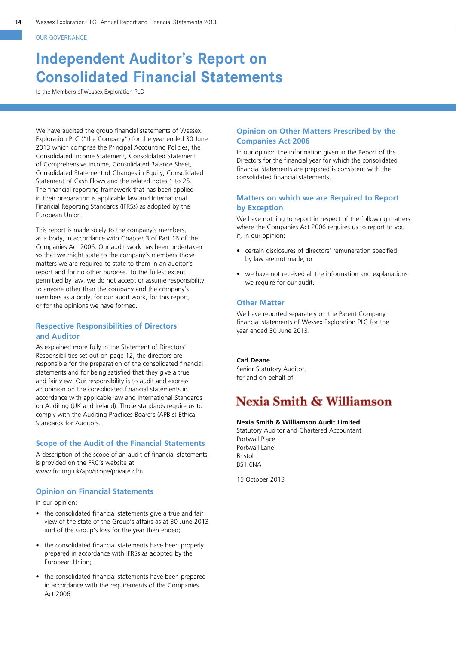# **Independent Auditor's Report on Consolidated Financial Statements**

to the Members of Wessex Exploration PLC

We have audited the group financial statements of Wessex Exploration PLC ("the Company") for the year ended 30 June 2013 which comprise the Principal Accounting Policies, the Consolidated Income Statement, Consolidated Statement of Comprehensive Income, Consolidated Balance Sheet, Consolidated Statement of Changes in Equity, Consolidated Statement of Cash Flows and the related notes 1 to 25. The financial reporting framework that has been applied in their preparation is applicable law and International Financial Reporting Standards (IFRSs) as adopted by the European Union.

This report is made solely to the company's members, as a body, in accordance with Chapter 3 of Part 16 of the Companies Act 2006. Our audit work has been undertaken so that we might state to the company's members those matters we are required to state to them in an auditor's report and for no other purpose. To the fullest extent permitted by law, we do not accept or assume responsibility to anyone other than the company and the company's members as a body, for our audit work, for this report, or for the opinions we have formed.

# **Respective Responsibilities of Directors and Auditor**

As explained more fully in the Statement of Directors' Responsibilities set out on page 12, the directors are responsible for the preparation of the consolidated financial statements and for being satisfied that they give a true and fair view. Our responsibility is to audit and express an opinion on the consolidated financial statements in accordance with applicable law and International Standards on Auditing (UK and Ireland). Those standards require us to comply with the Auditing Practices Board's (APB's) Ethical Standards for Auditors.

# **Scope of the Audit of the Financial Statements**

A description of the scope of an audit of financial statements is provided on the FRC's website at www.frc.org.uk/apb/scope/private.cfm

# **Opinion on Financial Statements**

In our opinion:

- the consolidated financial statements give a true and fair view of the state of the Group's affairs as at 30 June 2013 and of the Group's loss for the year then ended;
- the consolidated financial statements have been properly prepared in accordance with IFRSs as adopted by the European Union;
- the consolidated financial statements have been prepared in accordance with the requirements of the Companies Act 2006.

# **Opinion on Other Matters Prescribed by the Companies Act 2006**

In our opinion the information given in the Report of the Directors for the financial year for which the consolidated financial statements are prepared is consistent with the consolidated financial statements.

# **Matters on which we are Required to Report by Exception**

We have nothing to report in respect of the following matters where the Companies Act 2006 requires us to report to you if, in our opinion:

- • certain disclosures of directors' remuneration specified by law are not made; or
- we have not received all the information and explanations we require for our audit.

# **Other Matter**

We have reported separately on the Parent Company financial statements of Wessex Exploration PLC for the year ended 30 June 2013.

#### **Carl Deane**

Senior Statutory Auditor, for and on behalf of

# **Nexia Smith & Williamson**

#### **Nexia Smith & Williamson Audit Limited**

Statutory Auditor and Chartered Accountant Portwall Place Portwall Lane Bristol BS1 6NA

15 October 2013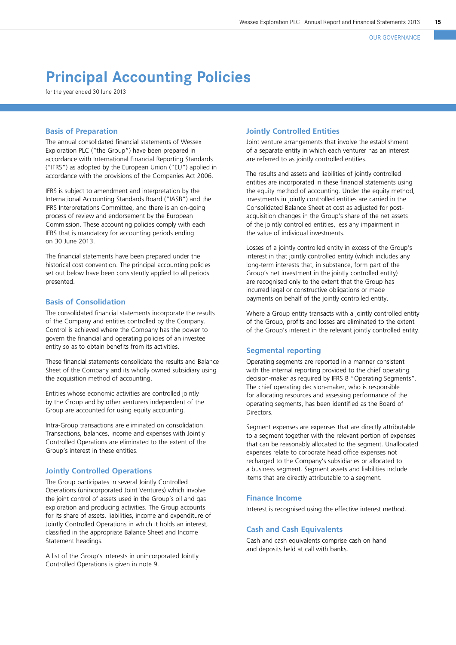for the year ended 30 June 2013

## **Basis of Preparation**

The annual consolidated financial statements of Wessex Exploration PLC ("the Group") have been prepared in accordance with International Financial Reporting Standards ("IFRS") as adopted by the European Union ("EU") applied in accordance with the provisions of the Companies Act 2006.

IFRS is subject to amendment and interpretation by the International Accounting Standards Board ("IASB") and the IFRS Interpretations Committee, and there is an on-going process of review and endorsement by the European Commission. These accounting policies comply with each IFRS that is mandatory for accounting periods ending on 30 June 2013.

The financial statements have been prepared under the historical cost convention. The principal accounting policies set out below have been consistently applied to all periods presented.

### **Basis of Consolidation**

The consolidated financial statements incorporate the results of the Company and entities controlled by the Company. Control is achieved where the Company has the power to govern the financial and operating policies of an investee entity so as to obtain benefits from its activities.

These financial statements consolidate the results and Balance Sheet of the Company and its wholly owned subsidiary using the acquisition method of accounting.

Entities whose economic activities are controlled jointly by the Group and by other venturers independent of the Group are accounted for using equity accounting.

Intra-Group transactions are eliminated on consolidation. Transactions, balances, income and expenses with Jointly Controlled Operations are eliminated to the extent of the Group's interest in these entities.

#### **Jointly Controlled Operations**

The Group participates in several Jointly Controlled Operations (unincorporated Joint Ventures) which involve the joint control of assets used in the Group's oil and gas exploration and producing activities. The Group accounts for its share of assets, liabilities, income and expenditure of Jointly Controlled Operations in which it holds an interest, classified in the appropriate Balance Sheet and Income Statement headings.

A list of the Group's interests in unincorporated Jointly Controlled Operations is given in note 9.

## **Jointly Controlled Entities**

Joint venture arrangements that involve the establishment of a separate entity in which each venturer has an interest are referred to as jointly controlled entities.

The results and assets and liabilities of jointly controlled entities are incorporated in these financial statements using the equity method of accounting. Under the equity method, investments in jointly controlled entities are carried in the Consolidated Balance Sheet at cost as adjusted for postacquisition changes in the Group's share of the net assets of the jointly controlled entities, less any impairment in the value of individual investments.

Losses of a jointly controlled entity in excess of the Group's interest in that jointly controlled entity (which includes any long-term interests that, in substance, form part of the Group's net investment in the jointly controlled entity) are recognised only to the extent that the Group has incurred legal or constructive obligations or made payments on behalf of the jointly controlled entity.

Where a Group entity transacts with a jointly controlled entity of the Group, profits and losses are eliminated to the extent of the Group's interest in the relevant jointly controlled entity.

# **Segmental reporting**

Operating segments are reported in a manner consistent with the internal reporting provided to the chief operating decision-maker as required by IFRS 8 "Operating Segments". The chief operating decision-maker, who is responsible for allocating resources and assessing performance of the operating segments, has been identified as the Board of Directors.

Segment expenses are expenses that are directly attributable to a segment together with the relevant portion of expenses that can be reasonably allocated to the segment. Unallocated expenses relate to corporate head office expenses not recharged to the Company's subsidiaries or allocated to a business segment. Segment assets and liabilities include items that are directly attributable to a segment.

#### **Finance Income**

Interest is recognised using the effective interest method.

#### **Cash and Cash Equivalents**

Cash and cash equivalents comprise cash on hand and deposits held at call with banks.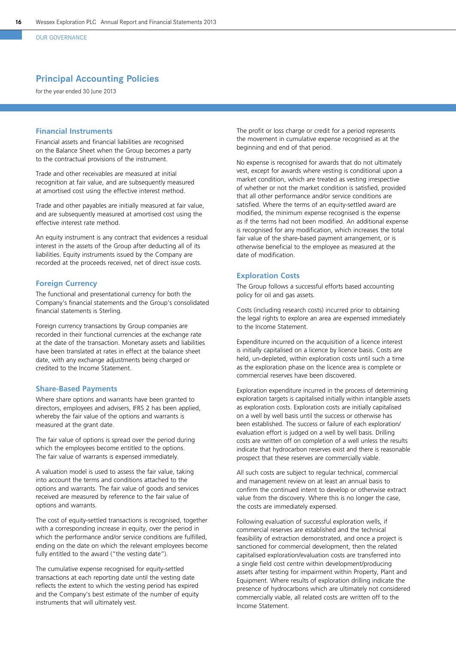for the year ended 30 June 2013

# **Financial Instruments**

Financial assets and financial liabilities are recognised on the Balance Sheet when the Group becomes a party to the contractual provisions of the instrument.

Trade and other receivables are measured at initial recognition at fair value, and are subsequently measured at amortised cost using the effective interest method.

Trade and other payables are initially measured at fair value, and are subsequently measured at amortised cost using the effective interest rate method.

An equity instrument is any contract that evidences a residual interest in the assets of the Group after deducting all of its liabilities. Equity instruments issued by the Company are recorded at the proceeds received, net of direct issue costs.

### **Foreign Currency**

The functional and presentational currency for both the Company's financial statements and the Group's consolidated financial statements is Sterling.

Foreign currency transactions by Group companies are recorded in their functional currencies at the exchange rate at the date of the transaction. Monetary assets and liabilities have been translated at rates in effect at the balance sheet date, with any exchange adjustments being charged or credited to the Income Statement.

# **Share-Based Payments**

Where share options and warrants have been granted to directors, employees and advisers, IFRS 2 has been applied, whereby the fair value of the options and warrants is measured at the grant date.

The fair value of options is spread over the period during which the employees become entitled to the options. The fair value of warrants is expensed immediately.

A valuation model is used to assess the fair value, taking into account the terms and conditions attached to the options and warrants. The fair value of goods and services received are measured by reference to the fair value of options and warrants.

The cost of equity-settled transactions is recognised, together with a corresponding increase in equity, over the period in which the performance and/or service conditions are fulfilled, ending on the date on which the relevant employees become fully entitled to the award ("the vesting date").

The cumulative expense recognised for equity-settled transactions at each reporting date until the vesting date reflects the extent to which the vesting period has expired and the Company's best estimate of the number of equity instruments that will ultimately vest.

The profit or loss charge or credit for a period represents the movement in cumulative expense recognised as at the beginning and end of that period.

No expense is recognised for awards that do not ultimately vest, except for awards where vesting is conditional upon a market condition, which are treated as vesting irrespective of whether or not the market condition is satisfied, provided that all other performance and/or service conditions are satisfied. Where the terms of an equity-settled award are modified, the minimum expense recognised is the expense as if the terms had not been modified. An additional expense is recognised for any modification, which increases the total fair value of the share-based payment arrangement, or is otherwise beneficial to the employee as measured at the date of modification.

# **Exploration Costs**

The Group follows a successful efforts based accounting policy for oil and gas assets.

Costs (including research costs) incurred prior to obtaining the legal rights to explore an area are expensed immediately to the Income Statement.

Expenditure incurred on the acquisition of a licence interest is initially capitalised on a licence by licence basis. Costs are held, un-depleted, within exploration costs until such a time as the exploration phase on the licence area is complete or commercial reserves have been discovered.

Exploration expenditure incurred in the process of determining exploration targets is capitalised initially within intangible assets as exploration costs. Exploration costs are initially capitalised on a well by well basis until the success or otherwise has been established. The success or failure of each exploration/ evaluation effort is judged on a well by well basis. Drilling costs are written off on completion of a well unless the results indicate that hydrocarbon reserves exist and there is reasonable prospect that these reserves are commercially viable.

All such costs are subject to regular technical, commercial and management review on at least an annual basis to confirm the continued intent to develop or otherwise extract value from the discovery. Where this is no longer the case, the costs are immediately expensed.

Following evaluation of successful exploration wells, if commercial reserves are established and the technical feasibility of extraction demonstrated, and once a project is sanctioned for commercial development, then the related capitalised exploration/evaluation costs are transferred into a single field cost centre within development/producing assets after testing for impairment within Property, Plant and Equipment. Where results of exploration drilling indicate the presence of hydrocarbons which are ultimately not considered commercially viable, all related costs are written off to the Income Statement.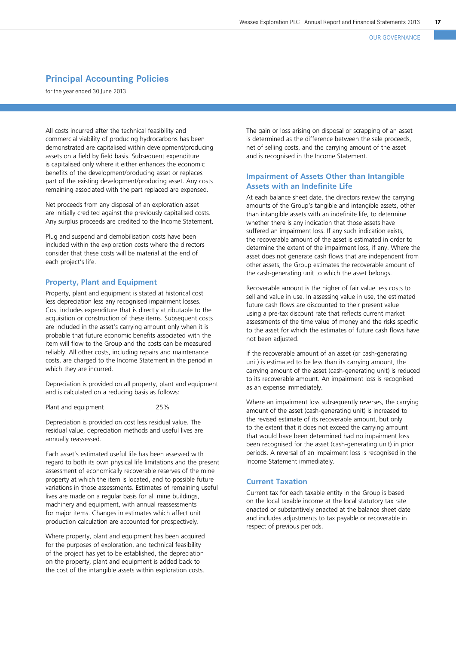for the year ended 30 June 2013

All costs incurred after the technical feasibility and commercial viability of producing hydrocarbons has been demonstrated are capitalised within development/producing assets on a field by field basis. Subsequent expenditure is capitalised only where it either enhances the economic benefits of the development/producing asset or replaces part of the existing development/producing asset. Any costs remaining associated with the part replaced are expensed.

Net proceeds from any disposal of an exploration asset are initially credited against the previously capitalised costs. Any surplus proceeds are credited to the Income Statement.

Plug and suspend and demobilisation costs have been included within the exploration costs where the directors consider that these costs will be material at the end of each project's life.

# **Property, Plant and Equipment**

Property, plant and equipment is stated at historical cost less depreciation less any recognised impairment losses. Cost includes expenditure that is directly attributable to the acquisition or construction of these items. Subsequent costs are included in the asset's carrying amount only when it is probable that future economic benefits associated with the item will flow to the Group and the costs can be measured reliably. All other costs, including repairs and maintenance costs, are charged to the Income Statement in the period in which they are incurred.

Depreciation is provided on all property, plant and equipment and is calculated on a reducing basis as follows:

Plant and equipment 25%

Depreciation is provided on cost less residual value. The residual value, depreciation methods and useful lives are annually reassessed.

Each asset's estimated useful life has been assessed with regard to both its own physical life limitations and the present assessment of economically recoverable reserves of the mine property at which the item is located, and to possible future variations in those assessments. Estimates of remaining useful lives are made on a regular basis for all mine buildings, machinery and equipment, with annual reassessments for major items. Changes in estimates which affect unit production calculation are accounted for prospectively.

Where property, plant and equipment has been acquired for the purposes of exploration, and technical feasibility of the project has yet to be established, the depreciation on the property, plant and equipment is added back to the cost of the intangible assets within exploration costs.

The gain or loss arising on disposal or scrapping of an asset is determined as the difference between the sale proceeds, net of selling costs, and the carrying amount of the asset and is recognised in the Income Statement.

# **Impairment of Assets Other than Intangible Assets with an Indefinite Life**

At each balance sheet date, the directors review the carrying amounts of the Group's tangible and intangible assets, other than intangible assets with an indefinite life, to determine whether there is any indication that those assets have suffered an impairment loss. If any such indication exists, the recoverable amount of the asset is estimated in order to determine the extent of the impairment loss, if any. Where the asset does not generate cash flows that are independent from other assets, the Group estimates the recoverable amount of the cash-generating unit to which the asset belongs.

Recoverable amount is the higher of fair value less costs to sell and value in use. In assessing value in use, the estimated future cash flows are discounted to their present value using a pre-tax discount rate that reflects current market assessments of the time value of money and the risks specific to the asset for which the estimates of future cash flows have not been adjusted.

If the recoverable amount of an asset (or cash-generating unit) is estimated to be less than its carrying amount, the carrying amount of the asset (cash-generating unit) is reduced to its recoverable amount. An impairment loss is recognised as an expense immediately.

Where an impairment loss subsequently reverses, the carrying amount of the asset (cash-generating unit) is increased to the revised estimate of its recoverable amount, but only to the extent that it does not exceed the carrying amount that would have been determined had no impairment loss been recognised for the asset (cash-generating unit) in prior periods. A reversal of an impairment loss is recognised in the Income Statement immediately.

# **Current Taxation**

Current tax for each taxable entity in the Group is based on the local taxable income at the local statutory tax rate enacted or substantively enacted at the balance sheet date and includes adjustments to tax payable or recoverable in respect of previous periods.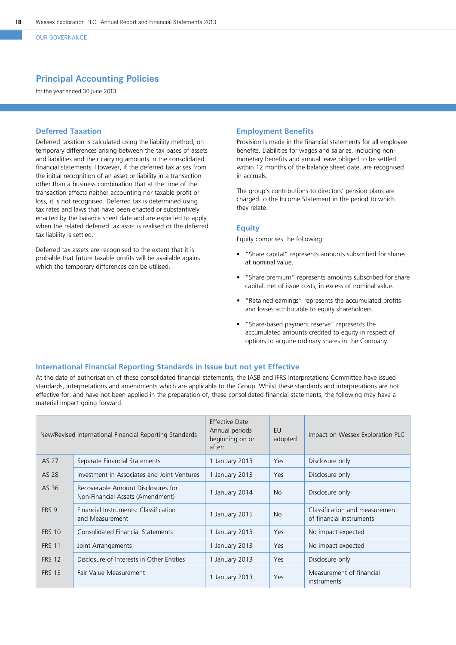for the year ended 30 June 2013

#### **Deferred Taxation**

Deferred taxation is calculated using the liability method, on temporary differences arising between the tax bases of assets and liabilities and their carrying amounts in the consolidated financial statements. However, if the deferred tax arises from the initial recognition of an asset or liability in a transaction other than a business combination that at the time of the transaction affects neither accounting nor taxable profit or loss, it is not recognised. Deferred tax is determined using tax rates and laws that have been enacted or substantively enacted by the balance sheet date and are expected to apply when the related deferred tax asset is realised or the deferred tax liability is settled.

Deferred tax assets are recognised to the extent that it is probable that future taxable profits will be available against which the temporary differences can be utilised.

#### **Employment Benefits**

Provision is made in the financial statements for all employee benefits. Liabilities for wages and salaries, including nonmonetary benefits and annual leave obliged to be settled within 12 months of the balance sheet date, are recognised in accruals.

The group's contributions to directors' pension plans are charged to the Income Statement in the period to which they relate.

#### **Equity**

Equity comprises the following:

- "Share capital" represents amounts subscribed for shares at nominal value.
- • "Share premium" represents amounts subscribed for share capital, net of issue costs, in excess of nominal value.
- "Retained earnings" represents the accumulated profits and losses attributable to equity shareholders.
- • "Share-based payment reserve" represents the accumulated amounts credited to equity in respect of options to acquire ordinary shares in the Company.

# **International Financial Reporting Standards in Issue but not yet Effective**

At the date of authorisation of these consolidated financial statements, the IASB and IFRS Interpretations Committee have issued standards, interpretations and amendments which are applicable to the Group. Whilst these standards and interpretations are not effective for, and have not been applied in the preparation of, these consolidated financial statements, the following may have a material impact going forward.

| New/Revised International Financial Reporting Standards |                                                                        | Effective Date:<br>Annual periods<br>beginning on or<br>after: | EU<br>adopted | Impact on Wessex Exploration PLC                           |
|---------------------------------------------------------|------------------------------------------------------------------------|----------------------------------------------------------------|---------------|------------------------------------------------------------|
| <b>IAS 27</b>                                           | Separate Financial Statements                                          | 1 January 2013                                                 | Yes           | Disclosure only                                            |
| <b>IAS 28</b>                                           | Investment in Associates and Joint Ventures                            | 1 January 2013                                                 | Yes           | Disclosure only                                            |
| <b>IAS 36</b>                                           | Recoverable Amount Disclosures for<br>Non-Financial Assets (Amendment) | 1 January 2014                                                 | <b>No</b>     | Disclosure only                                            |
| <b>IFRS 9</b>                                           | Financial Instruments: Classification<br>and Measurement               | 1 January 2015                                                 | <b>No</b>     | Classification and measurement<br>of financial instruments |
| IFRS 10                                                 | Consolidated Financial Statements                                      | 1 January 2013                                                 | Yes           | No impact expected                                         |
| IFRS 11                                                 | Joint Arrangements                                                     | 1 January 2013                                                 | Yes           | No impact expected                                         |
| IFRS 12                                                 | Disclosure of Interests in Other Entities                              | 1 January 2013                                                 | Yes           | Disclosure only                                            |
| IFRS 13                                                 | Fair Value Measurement                                                 | 1 January 2013                                                 | Yes           | Measurement of financial<br>instruments                    |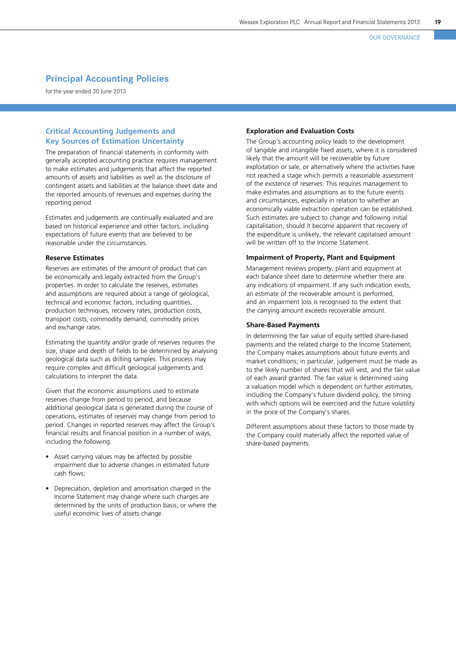for the year ended 30 June 2013

# **Critical Accounting Judgements and Key Sources of Estimation Uncertainty**

The preparation of financial statements in conformity with generally accepted accounting practice requires management to make estimates and judgements that affect the reported amounts of assets and liabilities as well as the disclosure of contingent assets and liabilities at the balance sheet date and the reported amounts of revenues and expenses during the reporting period.

Estimates and judgements are continually evaluated and are based on historical experience and other factors, including expectations of future events that are believed to be reasonable under the circumstances.

## **Reserve Estimates**

Reserves are estimates of the amount of product that can be economically and legally extracted from the Group's properties. In order to calculate the reserves, estimates and assumptions are required about a range of geological, technical and economic factors, including quantities, production techniques, recovery rates, production costs, transport costs, commodity demand, commodity prices and exchange rates.

Estimating the quantity and/or grade of reserves requires the size, shape and depth of fields to be determined by analysing geological data such as drilling samples. This process may require complex and difficult geological judgements and calculations to interpret the data.

Given that the economic assumptions used to estimate reserves change from period to period, and because additional geological data is generated during the course of operations, estimates of reserves may change from period to period. Changes in reported reserves may affect the Group's financial results and financial position in a number of ways, including the following:

- • Asset carrying values may be affected by possible impairment due to adverse changes in estimated future cash flows;
- Depreciation, depletion and amortisation charged in the Income Statement may change where such charges are determined by the units of production basis, or where the useful economic lives of assets change.

#### **Exploration and Evaluation Costs**

The Group's accounting policy leads to the development of tangible and intangible fixed assets, where it is considered likely that the amount will be recoverable by future exploitation or sale, or alternatively where the activities have not reached a stage which permits a reasonable assessment of the existence of reserves. This requires management to make estimates and assumptions as to the future events and circumstances, especially in relation to whether an economically viable extraction operation can be established. Such estimates are subject to change and following initial capitalisation, should it become apparent that recovery of the expenditure is unlikely, the relevant capitalised amount will be written off to the Income Statement.

## **Impairment of Property, Plant and Equipment**

Management reviews property, plant and equipment at each balance sheet date to determine whether there are any indications of impairment. If any such indication exists, an estimate of the recoverable amount is performed, and an impairment loss is recognised to the extent that the carrying amount exceeds recoverable amount.

#### **Share-Based Payments**

In determining the fair value of equity settled share-based payments and the related charge to the Income Statement, the Company makes assumptions about future events and market conditions; in particular, judgement must be made as to the likely number of shares that will vest, and the fair value of each award granted. The fair value is determined using a valuation model which is dependent on further estimates, including the Company's future dividend policy, the timing with which options will be exercised and the future volatility in the price of the Company's shares.

Different assumptions about these factors to those made by the Company could materially affect the reported value of share-based payments.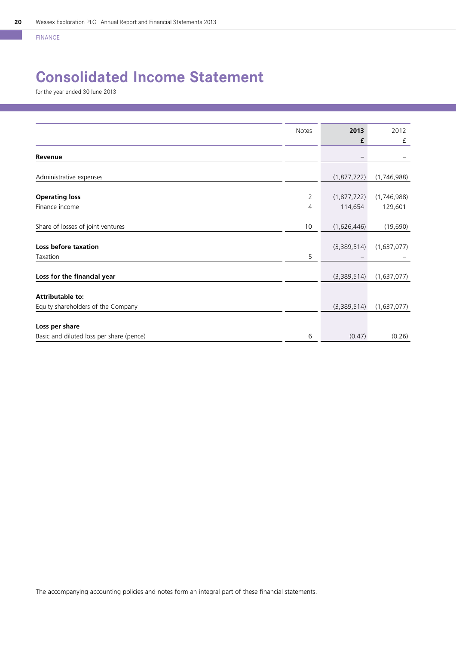# **Consolidated Income Statement**

for the year ended 30 June 2013

|                                          | <b>Notes</b> | 2013        | 2012        |
|------------------------------------------|--------------|-------------|-------------|
|                                          |              | £           | £           |
| Revenue                                  |              |             |             |
| Administrative expenses                  |              | (1,877,722) | (1,746,988) |
| <b>Operating loss</b>                    | 2            | (1,877,722) | (1,746,988) |
| Finance income                           | 4            | 114,654     | 129,601     |
| Share of losses of joint ventures        | 10           | (1,626,446) | (19,690)    |
| Loss before taxation                     |              | (3,389,514) | (1,637,077) |
| Taxation                                 | 5            |             |             |
| Loss for the financial year              |              | (3,389,514) | (1,637,077) |
| <b>Attributable to:</b>                  |              |             |             |
| Equity shareholders of the Company       |              | (3,389,514) | (1,637,077) |
| Loss per share                           |              |             |             |
| Basic and diluted loss per share (pence) | 6            | (0.47)      | (0.26)      |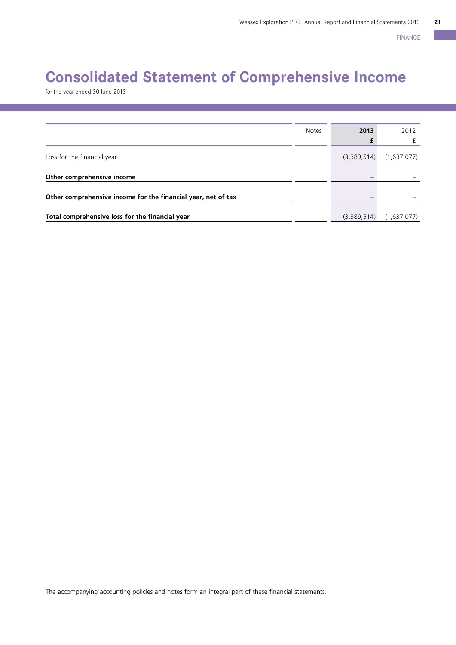# **Consolidated Statement of Comprehensive Income**

for the year ended 30 June 2013

|                                                               | <b>Notes</b> | 2013        | 2012        |
|---------------------------------------------------------------|--------------|-------------|-------------|
|                                                               |              |             |             |
| Loss for the financial year                                   |              | (3,389,514) | (1,637,077) |
| Other comprehensive income                                    |              |             |             |
| Other comprehensive income for the financial year, net of tax |              |             |             |
| Total comprehensive loss for the financial year               |              | (3,389,514) | (1,637,077) |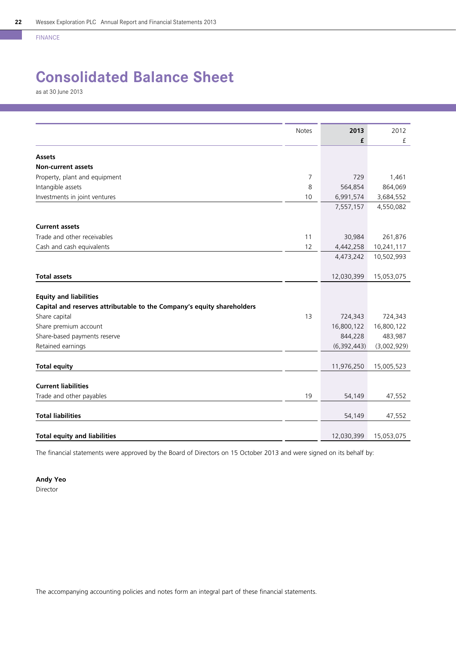# **Consolidated Balance Sheet**

as at 30 June 2013

|                                                                        | <b>Notes</b> | 2013                   | 2012                   |
|------------------------------------------------------------------------|--------------|------------------------|------------------------|
|                                                                        |              | £                      | £                      |
| <b>Assets</b>                                                          |              |                        |                        |
| <b>Non-current assets</b>                                              |              |                        |                        |
|                                                                        |              |                        |                        |
| Property, plant and equipment                                          | 7            | 729                    | 1,461                  |
| Intangible assets                                                      | 8            | 564,854                | 864,069                |
| Investments in joint ventures                                          | 10           | 6,991,574<br>7,557,157 | 3,684,552<br>4,550,082 |
|                                                                        |              |                        |                        |
| <b>Current assets</b>                                                  |              |                        |                        |
| Trade and other receivables                                            | 11           | 30,984                 | 261,876                |
| Cash and cash equivalents                                              | 12           | 4,442,258              | 10,241,117             |
|                                                                        |              | 4,473,242              | 10,502,993             |
| <b>Total assets</b>                                                    |              | 12,030,399             | 15,053,075             |
| <b>Equity and liabilities</b>                                          |              |                        |                        |
| Capital and reserves attributable to the Company's equity shareholders |              |                        |                        |
| Share capital                                                          | 13           | 724,343                | 724,343                |
| Share premium account                                                  |              | 16,800,122             | 16,800,122             |
| Share-based payments reserve                                           |              | 844,228                | 483,987                |
| Retained earnings                                                      |              | (6, 392, 443)          | (3,002,929)            |
| <b>Total equity</b>                                                    |              | 11,976,250             | 15,005,523             |
|                                                                        |              |                        |                        |
| <b>Current liabilities</b>                                             |              |                        |                        |
| Trade and other payables                                               | 19           | 54,149                 | 47,552                 |
| <b>Total liabilities</b>                                               |              | 54,149                 | 47,552                 |
|                                                                        |              |                        |                        |
| <b>Total equity and liabilities</b>                                    |              | 12,030,399             | 15,053,075             |

The financial statements were approved by the Board of Directors on 15 October 2013 and were signed on its behalf by:

**Andy Yeo** Director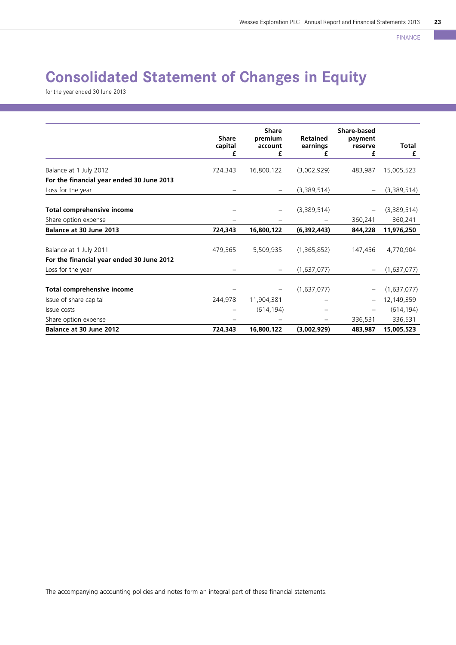# **Consolidated Statement of Changes in Equity**

for the year ended 30 June 2013

|                                           | <b>Share</b><br>capital<br>£ | <b>Share</b><br>premium<br>account<br>£ | <b>Retained</b><br>earnings<br>£ | <b>Share-based</b><br>payment<br>reserve<br>£ | <b>Total</b><br>£ |
|-------------------------------------------|------------------------------|-----------------------------------------|----------------------------------|-----------------------------------------------|-------------------|
| Balance at 1 July 2012                    | 724,343                      | 16,800,122                              | (3,002,929)                      | 483,987                                       | 15,005,523        |
| For the financial year ended 30 June 2013 |                              |                                         |                                  |                                               |                   |
| Loss for the year                         |                              |                                         | (3,389,514)                      |                                               | (3,389,514)       |
|                                           |                              |                                         |                                  |                                               |                   |
| Total comprehensive income                |                              |                                         | (3,389,514)                      |                                               | (3,389,514)       |
| Share option expense                      |                              |                                         |                                  | 360,241                                       | 360,241           |
| Balance at 30 June 2013                   | 724,343                      | 16,800,122                              | (6,392,443)                      | 844,228                                       | 11,976,250        |
|                                           |                              |                                         |                                  |                                               |                   |
| Balance at 1 July 2011                    | 479,365                      | 5,509,935                               | (1,365,852)                      | 147,456                                       | 4,770,904         |
| For the financial year ended 30 June 2012 |                              |                                         |                                  |                                               |                   |
| Loss for the year                         |                              |                                         | (1,637,077)                      |                                               | (1,637,077)       |
|                                           |                              |                                         |                                  |                                               |                   |
| Total comprehensive income                |                              |                                         | (1,637,077)                      |                                               | (1,637,077)       |
| Issue of share capital                    | 244,978                      | 11,904,381                              |                                  |                                               | 12,149,359        |
| Issue costs                               |                              | (614, 194)                              |                                  |                                               | (614, 194)        |
| Share option expense                      |                              |                                         |                                  | 336,531                                       | 336,531           |
| Balance at 30 June 2012                   | 724,343                      | 16,800,122                              | (3,002,929)                      | 483,987                                       | 15,005,523        |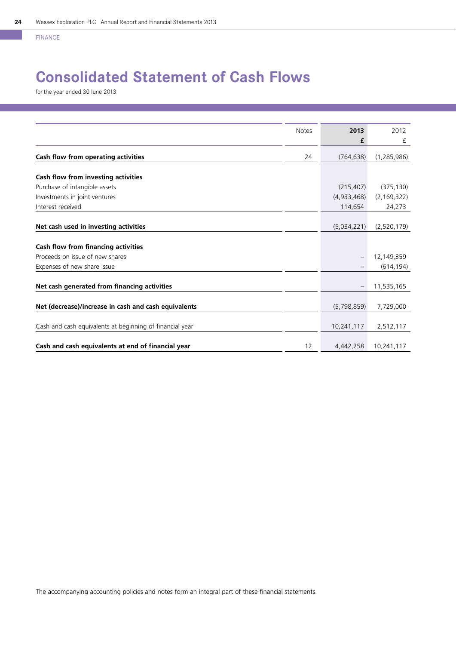# **Consolidated Statement of Cash Flows**

for the year ended 30 June 2013

|                                                          | <b>Notes</b> | 2013        | 2012          |
|----------------------------------------------------------|--------------|-------------|---------------|
|                                                          |              | £           | £             |
| Cash flow from operating activities                      | 24           | (764, 638)  | (1,285,986)   |
| Cash flow from investing activities                      |              |             |               |
| Purchase of intangible assets                            |              | (215, 407)  | (375, 130)    |
| Investments in joint ventures                            |              | (4,933,468) | (2, 169, 322) |
| Interest received                                        |              | 114,654     | 24,273        |
|                                                          |              |             |               |
| Net cash used in investing activities                    |              | (5,034,221) | (2,520,179)   |
| Cash flow from financing activities                      |              |             |               |
| Proceeds on issue of new shares                          |              |             | 12,149,359    |
| Expenses of new share issue                              |              |             | (614, 194)    |
|                                                          |              |             |               |
| Net cash generated from financing activities             |              |             | 11,535,165    |
| Net (decrease)/increase in cash and cash equivalents     |              | (5,798,859) | 7,729,000     |
| Cash and cash equivalents at beginning of financial year |              | 10,241,117  | 2,512,117     |
|                                                          |              |             |               |
| Cash and cash equivalents at end of financial year       | 12           | 4,442,258   | 10,241,117    |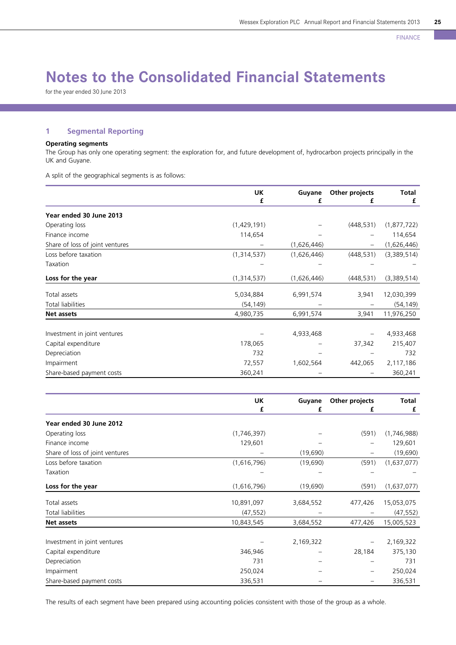# **Notes to the Consolidated Financial Statements**

for the year ended 30 June 2013

# **1 Segmental Reporting**

## **Operating segments**

The Group has only one operating segment: the exploration for, and future development of, hydrocarbon projects principally in the UK and Guyane.

A split of the geographical segments is as follows:

|                                 | UK<br>£     | Guyane<br>£ | Other projects<br>£ | <b>Total</b><br>£ |
|---------------------------------|-------------|-------------|---------------------|-------------------|
|                                 |             |             |                     |                   |
| Year ended 30 June 2013         |             |             |                     |                   |
| Operating loss                  | (1,429,191) |             | (448, 531)          | (1,877,722)       |
| Finance income                  | 114,654     |             |                     | 114,654           |
| Share of loss of joint ventures |             | (1,626,446) |                     | (1,626,446)       |
| Loss before taxation            | (1,314,537) | (1,626,446) | (448, 531)          | (3,389,514)       |
| Taxation                        |             |             |                     |                   |
| Loss for the year               | (1,314,537) | (1,626,446) | (448, 531)          | (3,389,514)       |
| Total assets                    | 5,034,884   | 6,991,574   | 3,941               | 12,030,399        |
| Total liabilities               | (54, 149)   |             |                     | (54, 149)         |
| Net assets                      | 4,980,735   | 6,991,574   | 3,941               | 11,976,250        |
|                                 |             |             |                     |                   |
| Investment in joint ventures    |             | 4,933,468   |                     | 4,933,468         |
| Capital expenditure             | 178,065     |             | 37,342              | 215,407           |
| Depreciation                    | 732         |             |                     | 732               |
| Impairment                      | 72,557      | 1,602,564   | 442,065             | 2,117,186         |
| Share-based payment costs       | 360,241     |             |                     | 360,241           |

|                                 | UK<br>£     | Guyane<br>£ | <b>Other projects</b><br>£ | Total<br>£  |
|---------------------------------|-------------|-------------|----------------------------|-------------|
| Year ended 30 June 2012         |             |             |                            |             |
| Operating loss                  | (1,746,397) |             | (591)                      | (1,746,988) |
| Finance income                  |             |             |                            |             |
|                                 | 129,601     |             |                            | 129,601     |
| Share of loss of joint ventures |             | (19,690)    |                            | (19,690)    |
| Loss before taxation            | (1,616,796) | (19,690)    | (591)                      | (1,637,077) |
| Taxation                        |             |             |                            |             |
| Loss for the year               | (1,616,796) | (19,690)    | (591)                      | (1,637,077) |
| Total assets                    | 10,891,097  | 3,684,552   | 477,426                    | 15,053,075  |
| <b>Total liabilities</b>        | (47, 552)   |             |                            | (47, 552)   |
| Net assets                      | 10,843,545  | 3,684,552   | 477,426                    | 15,005,523  |
|                                 |             |             |                            |             |
| Investment in joint ventures    |             | 2,169,322   |                            | 2,169,322   |
| Capital expenditure             | 346,946     |             | 28,184                     | 375,130     |
| Depreciation                    | 731         |             |                            | 731         |
| Impairment                      | 250,024     |             |                            | 250,024     |
| Share-based payment costs       | 336,531     |             | -                          | 336,531     |

The results of each segment have been prepared using accounting policies consistent with those of the group as a whole.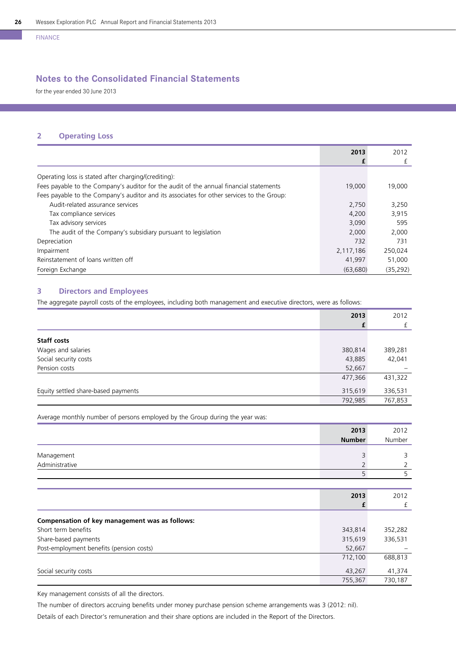# **Notes to the Consolidated Financial Statements**

for the year ended 30 June 2013

# **2 Operating Loss**

|                                                                                           | 2013      | 2012      |
|-------------------------------------------------------------------------------------------|-----------|-----------|
|                                                                                           |           | £         |
| Operating loss is stated after charging/(crediting):                                      |           |           |
| Fees payable to the Company's auditor for the audit of the annual financial statements    | 19,000    | 19,000    |
| Fees payable to the Company's auditor and its associates for other services to the Group: |           |           |
| Audit-related assurance services                                                          | 2.750     | 3,250     |
| Tax compliance services                                                                   | 4.200     | 3.915     |
| Tax advisory services                                                                     | 3.090     | 595       |
| The audit of the Company's subsidiary pursuant to legislation                             | 2.000     | 2.000     |
| Depreciation                                                                              | 732       | 731       |
| Impairment                                                                                | 2,117,186 | 250,024   |
| Reinstatement of loans written off                                                        | 41.997    | 51,000    |
| Foreign Exchange                                                                          | (63, 680) | (35, 292) |

# **3 Directors and Employees**

The aggregate payroll costs of the employees, including both management and executive directors, were as follows:

|                                     | 2013    | 2012    |
|-------------------------------------|---------|---------|
|                                     |         | £       |
| <b>Staff costs</b>                  |         |         |
| Wages and salaries                  | 380,814 | 389,281 |
| Social security costs               | 43,885  | 42,041  |
| Pension costs                       | 52,667  |         |
|                                     | 477,366 | 431,322 |
| Equity settled share-based payments | 315,619 | 336,531 |
|                                     | 792,985 | 767,853 |

Average monthly number of persons employed by the Group during the year was:

|                                                | 2013          | 2012    |
|------------------------------------------------|---------------|---------|
|                                                | <b>Number</b> | Number  |
| Management                                     |               | 3       |
| Administrative                                 |               | 2       |
|                                                | 5             | 5       |
|                                                |               |         |
|                                                | 2013          | 2012    |
|                                                |               | £       |
| Compensation of key management was as follows: |               |         |
| Short term benefits                            | 343,814       | 352,282 |
| Share-based payments                           | 315,619       | 336,531 |
| Post-employment benefits (pension costs)       | 52,667        |         |
|                                                | 712,100       | 688,813 |
| Social security costs                          | 43,267        | 41,374  |
|                                                | 755,367       | 730,187 |

Key management consists of all the directors.

The number of directors accruing benefits under money purchase pension scheme arrangements was 3 (2012: nil).

Details of each Director's remuneration and their share options are included in the Report of the Directors.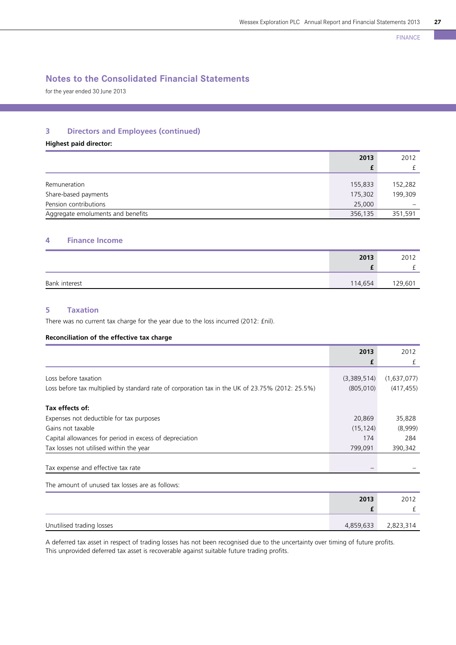# **Notes to the Consolidated Financial Statements**

for the year ended 30 June 2013

# **3 Directors and Employees (continued)**

# **Highest paid director:**

|                                   | 2013    | 2012    |
|-----------------------------------|---------|---------|
|                                   |         |         |
|                                   |         |         |
| Remuneration                      | 155,833 | 152,282 |
| Share-based payments              | 175,302 | 199.309 |
| Pension contributions             | 25,000  |         |
| Aggregate emoluments and benefits | 356,135 | 351,591 |

# **4 Finance Income**

|               | 2013    | 2012    |
|---------------|---------|---------|
| Bank interest | 114,654 | 129,601 |

# **5 Taxation**

There was no current tax charge for the year due to the loss incurred (2012: £nil).

### **Reconciliation of the effective tax charge**

|                                                                                                  | 2013        | 2012        |
|--------------------------------------------------------------------------------------------------|-------------|-------------|
|                                                                                                  | £           | £           |
| Loss before taxation                                                                             | (3,389,514) | (1,637,077) |
|                                                                                                  |             |             |
| Loss before tax multiplied by standard rate of corporation tax in the UK of 23.75% (2012: 25.5%) | (805, 010)  | (417, 455)  |
| Tax effects of:                                                                                  |             |             |
| Expenses not deductible for tax purposes                                                         | 20,869      | 35,828      |
| Gains not taxable                                                                                | (15, 124)   | (8,999)     |
| Capital allowances for period in excess of depreciation                                          | 174         | 284         |
| Tax losses not utilised within the year                                                          | 799,091     | 390,342     |
|                                                                                                  |             |             |
| Tax expense and effective tax rate                                                               |             |             |
| The amount of unused tax losses are as follows:                                                  |             |             |
|                                                                                                  | 2013        | 2012        |
|                                                                                                  | £           | £           |
|                                                                                                  |             |             |
| Unutilised trading losses                                                                        | 4,859,633   | 2,823,314   |

A deferred tax asset in respect of trading losses has not been recognised due to the uncertainty over timing of future profits. This unprovided deferred tax asset is recoverable against suitable future trading profits.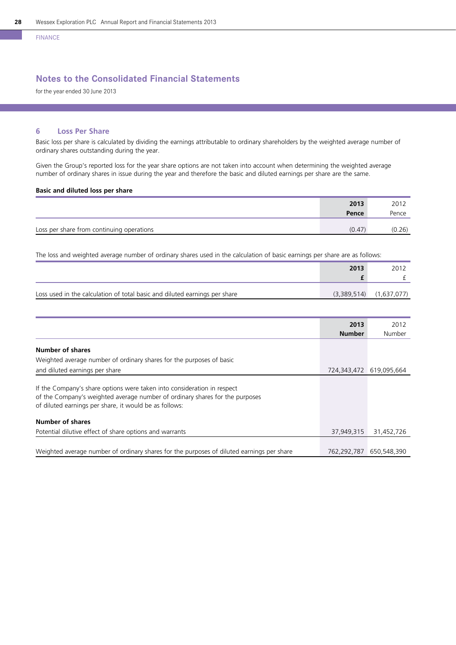# **Notes to the Consolidated Financial Statements**

for the year ended 30 June 2013

#### **6 Loss Per Share**

Basic loss per share is calculated by dividing the earnings attributable to ordinary shareholders by the weighted average number of ordinary shares outstanding during the year.

Given the Group's reported loss for the year share options are not taken into account when determining the weighted average number of ordinary shares in issue during the year and therefore the basic and diluted earnings per share are the same.

#### **Basic and diluted loss per share**

|                                           | 2013   | 2012   |
|-------------------------------------------|--------|--------|
|                                           | Pence  | Pence  |
|                                           |        |        |
| Loss per share from continuing operations | (0.47) | (0.26) |

The loss and weighted average number of ordinary shares used in the calculation of basic earnings per share are as follows:

|                                                                            | 2013 | 2012                        |
|----------------------------------------------------------------------------|------|-----------------------------|
|                                                                            |      |                             |
| Loss used in the calculation of total basic and diluted earnings per share |      | $(3,389,514)$ $(1,637,077)$ |

|                                                                                                                                                                                                                   | 2013          | 2012        |
|-------------------------------------------------------------------------------------------------------------------------------------------------------------------------------------------------------------------|---------------|-------------|
|                                                                                                                                                                                                                   | <b>Number</b> | Number      |
| <b>Number of shares</b>                                                                                                                                                                                           |               |             |
| Weighted average number of ordinary shares for the purposes of basic                                                                                                                                              |               |             |
| and diluted earnings per share                                                                                                                                                                                    | 724,343,472   | 619,095,664 |
| If the Company's share options were taken into consideration in respect<br>of the Company's weighted average number of ordinary shares for the purposes<br>of diluted earnings per share, it would be as follows: |               |             |
| <b>Number of shares</b>                                                                                                                                                                                           |               |             |
| Potential dilutive effect of share options and warrants                                                                                                                                                           | 37,949,315    | 31,452,726  |
| Weighted average number of ordinary shares for the purposes of diluted earnings per share                                                                                                                         | 762,292,787   | 650,548,390 |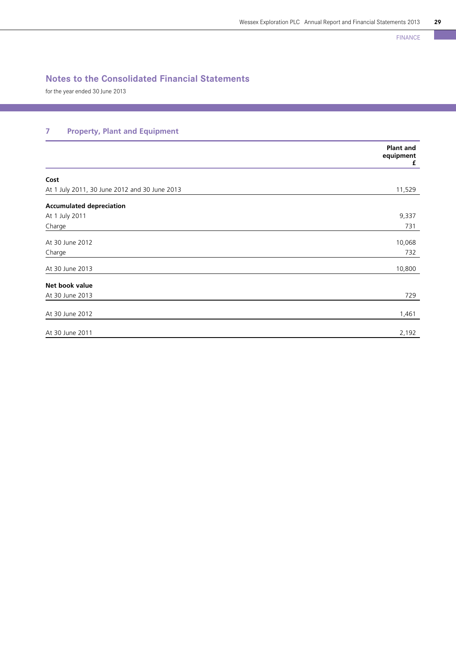# **Notes to the Consolidated Financial Statements**

for the year ended 30 June 2013

# **7 Property, Plant and Equipment**

|                                               | <b>Plant and</b><br>equipment<br>£ |
|-----------------------------------------------|------------------------------------|
| Cost                                          |                                    |
| At 1 July 2011, 30 June 2012 and 30 June 2013 | 11,529                             |
| <b>Accumulated depreciation</b>               |                                    |
| At 1 July 2011                                | 9,337                              |
| Charge                                        | 731                                |
| At 30 June 2012                               | 10,068                             |
| Charge                                        | 732                                |
| At 30 June 2013                               | 10,800                             |
| Net book value                                |                                    |
| At 30 June 2013                               | 729                                |
| At 30 June 2012                               | 1,461                              |
| At 30 June 2011                               | 2,192                              |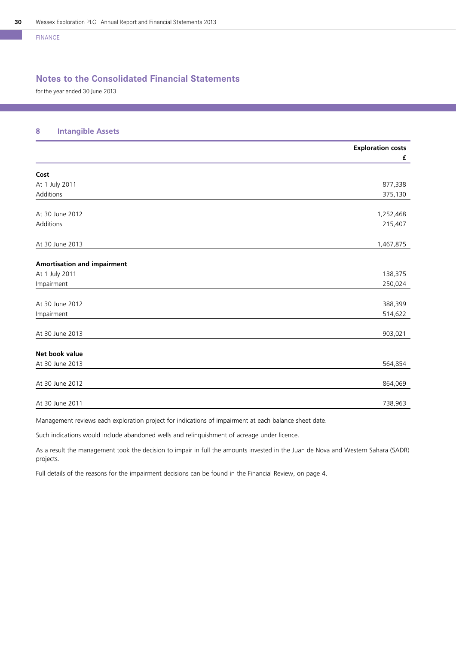# **Notes to the Consolidated Financial Statements**

for the year ended 30 June 2013

# **8 Intangible Assets**

|                                    | <b>Exploration costs</b> |
|------------------------------------|--------------------------|
|                                    | £                        |
| Cost                               |                          |
| At 1 July 2011                     | 877,338                  |
| Additions                          | 375,130                  |
| At 30 June 2012                    | 1,252,468                |
| Additions                          | 215,407                  |
| At 30 June 2013                    | 1,467,875                |
| <b>Amortisation and impairment</b> |                          |
| At 1 July 2011                     | 138,375                  |
| Impairment                         | 250,024                  |
| At 30 June 2012                    | 388,399                  |
| Impairment                         | 514,622                  |
| At 30 June 2013                    | 903,021                  |
| Net book value                     |                          |
| At 30 June 2013                    | 564,854                  |
| At 30 June 2012                    | 864,069                  |
| At 30 June 2011                    | 738,963                  |

Management reviews each exploration project for indications of impairment at each balance sheet date.

Such indications would include abandoned wells and relinquishment of acreage under licence.

As a result the management took the decision to impair in full the amounts invested in the Juan de Nova and Western Sahara (SADR) projects.

Full details of the reasons for the impairment decisions can be found in the Financial Review, on page 4.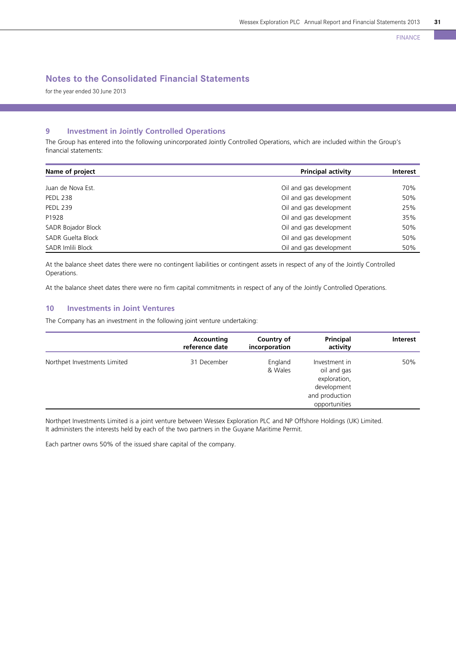# **Notes to the Consolidated Financial Statements**

for the year ended 30 June 2013

# **9 Investment in Jointly Controlled Operations**

The Group has entered into the following unincorporated Jointly Controlled Operations, which are included within the Group's financial statements:

| <b>Principal activity</b><br>Name of project |                         | <b>Interest</b> |
|----------------------------------------------|-------------------------|-----------------|
|                                              |                         |                 |
| Juan de Nova Est.                            | Oil and gas development | 70%             |
| <b>PEDL 238</b>                              | Oil and gas development | 50%             |
| <b>PEDL 239</b>                              | Oil and gas development | 25%             |
| P1928                                        | Oil and gas development | 35%             |
| SADR Bojador Block                           | Oil and gas development | 50%             |
| <b>SADR Guelta Block</b>                     | Oil and gas development | 50%             |
| SADR Imlili Block                            | Oil and gas development | 50%             |

At the balance sheet dates there were no contingent liabilities or contingent assets in respect of any of the Jointly Controlled Operations.

At the balance sheet dates there were no firm capital commitments in respect of any of the Jointly Controlled Operations.

# **10 Investments in Joint Ventures**

The Company has an investment in the following joint venture undertaking:

|                              | Accounting<br>reference date | Country of<br>incorporation | Principal<br>activity                                                                          | <b>Interest</b> |
|------------------------------|------------------------------|-----------------------------|------------------------------------------------------------------------------------------------|-----------------|
| Northpet Investments Limited | 31 December                  | England<br>& Wales          | Investment in<br>oil and gas<br>exploration,<br>development<br>and production<br>opportunities | 50%             |

Northpet Investments Limited is a joint venture between Wessex Exploration PLC and NP Offshore Holdings (UK) Limited. It administers the interests held by each of the two partners in the Guyane Maritime Permit.

Each partner owns 50% of the issued share capital of the company.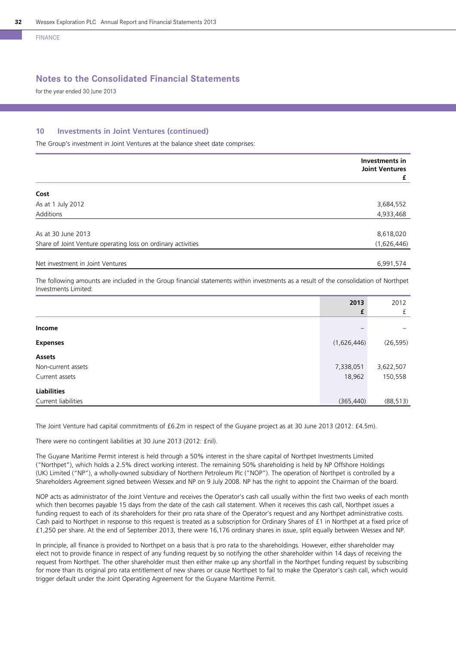# **Notes to the Consolidated Financial Statements**

for the year ended 30 June 2013

# **10 Investments in Joint Ventures (continued)**

The Group's investment in Joint Ventures at the balance sheet date comprises:

|                                                              | Investments in<br><b>Joint Ventures</b> |
|--------------------------------------------------------------|-----------------------------------------|
|                                                              |                                         |
| Cost                                                         |                                         |
| As at 1 July 2012                                            | 3,684,552                               |
| Additions                                                    | 4,933,468                               |
| As at 30 June 2013                                           | 8,618,020                               |
| Share of Joint Venture operating loss on ordinary activities | (1,626,446)                             |
|                                                              |                                         |
| Net investment in Joint Ventures                             | 6,991,574                               |

The following amounts are included in the Group financial statements within investments as a result of the consolidation of Northpet Investments Limited:

|                     | 2013        | 2012      |
|---------------------|-------------|-----------|
|                     |             | £         |
| Income              |             |           |
| <b>Expenses</b>     | (1,626,446) | (26, 595) |
| <b>Assets</b>       |             |           |
| Non-current assets  | 7,338,051   | 3,622,507 |
| Current assets      | 18,962      | 150,558   |
| <b>Liabilities</b>  |             |           |
| Current liabilities | (365, 440)  | (88, 513) |

The Joint Venture had capital commitments of £6.2m in respect of the Guyane project as at 30 June 2013 (2012: £4.5m).

There were no contingent liabilities at 30 June 2013 (2012: £nil).

The Guyane Maritime Permit interest is held through a 50% interest in the share capital of Northpet Investments Limited ("Northpet"), which holds a 2.5% direct working interest. The remaining 50% shareholding is held by NP Offshore Holdings (UK) Limited ("NP"), a wholly-owned subsidiary of Northern Petroleum Plc ("NOP"). The operation of Northpet is controlled by a Shareholders Agreement signed between Wessex and NP on 9 July 2008. NP has the right to appoint the Chairman of the board.

NOP acts as administrator of the Joint Venture and receives the Operator's cash call usually within the first two weeks of each month which then becomes payable 15 days from the date of the cash call statement. When it receives this cash call, Northpet issues a funding request to each of its shareholders for their pro rata share of the Operator's request and any Northpet administrative costs. Cash paid to Northpet in response to this request is treated as a subscription for Ordinary Shares of £1 in Northpet at a fixed price of £1,250 per share. At the end of September 2013, there were 16,176 ordinary shares in issue, split equally between Wessex and NP.

In principle, all finance is provided to Northpet on a basis that is pro rata to the shareholdings. However, either shareholder may elect not to provide finance in respect of any funding request by so notifying the other shareholder within 14 days of receiving the request from Northpet. The other shareholder must then either make up any shortfall in the Northpet funding request by subscribing for more than its original pro rata entitlement of new shares or cause Northpet to fail to make the Operator's cash call, which would trigger default under the Joint Operating Agreement for the Guyane Maritime Permit.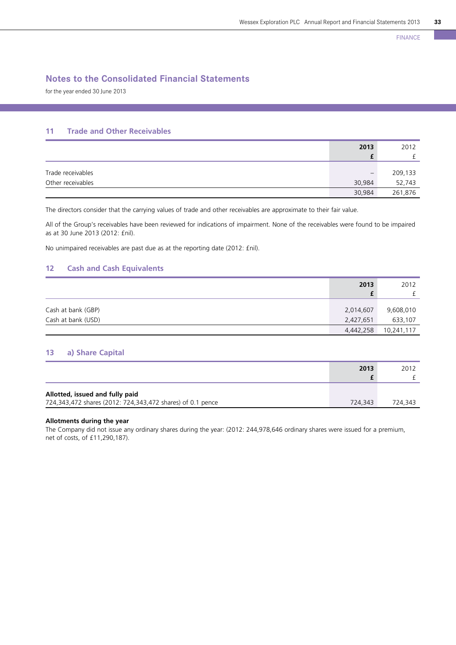# **Notes to the Consolidated Financial Statements**

for the year ended 30 June 2013

# **11 Trade and Other Receivables**

|                   | 2013   | 2012    |
|-------------------|--------|---------|
|                   |        |         |
|                   |        |         |
| Trade receivables |        | 209,133 |
| Other receivables | 30,984 | 52,743  |
|                   | 30,984 | 261,876 |

The directors consider that the carrying values of trade and other receivables are approximate to their fair value.

All of the Group's receivables have been reviewed for indications of impairment. None of the receivables were found to be impaired as at 30 June 2013 (2012: £nil).

No unimpaired receivables are past due as at the reporting date (2012: £nil).

# **12 Cash and Cash Equivalents**

|                    | 2013      | 2012       |
|--------------------|-----------|------------|
|                    |           |            |
|                    |           |            |
| Cash at bank (GBP) | 2,014,607 | 9,608,010  |
| Cash at bank (USD) | 2,427,651 | 633,107    |
|                    | 4,442,258 | 10,241,117 |

# **13 a) Share Capital**

|                                                            | 2013    | 2012    |
|------------------------------------------------------------|---------|---------|
|                                                            |         |         |
| Allotted, issued and fully paid                            |         |         |
| 724,343,472 shares (2012: 724,343,472 shares) of 0.1 pence | 724.343 | 724.343 |

#### **Allotments during the year**

The Company did not issue any ordinary shares during the year: (2012: 244,978,646 ordinary shares were issued for a premium, net of costs, of £11,290,187).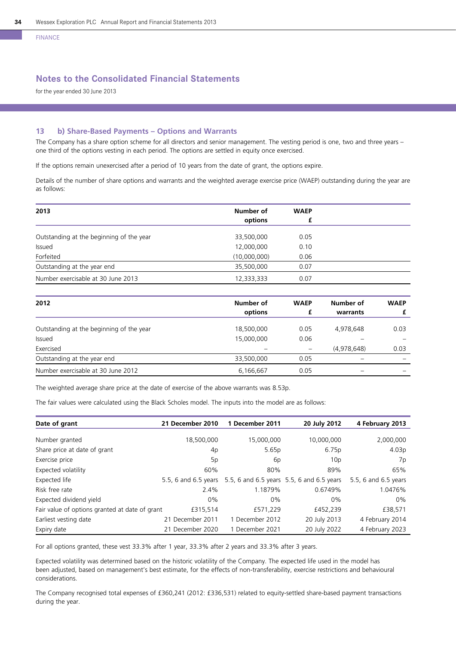# **Notes to the Consolidated Financial Statements**

for the year ended 30 June 2013

# **13 b) Share-Based Payments – Options and Warrants**

The Company has a share option scheme for all directors and senior management. The vesting period is one, two and three years – one third of the options vesting in each period. The options are settled in equity once exercised.

If the options remain unexercised after a period of 10 years from the date of grant, the options expire.

Details of the number of share options and warrants and the weighted average exercise price (WAEP) outstanding during the year are as follows:

| 2013                                     | Number of    | <b>WAEP</b> |  |
|------------------------------------------|--------------|-------------|--|
|                                          | options      |             |  |
| Outstanding at the beginning of the year | 33,500,000   | 0.05        |  |
| Issued                                   | 12,000,000   | 0.10        |  |
| Forfeited                                | (10,000,000) | 0.06        |  |
| Outstanding at the year end              | 35.500.000   | 0.07        |  |
| Number exercisable at 30 June 2013       | 12,333,333   | 0.07        |  |

| 2012                                     | Number of  | <b>WAEP</b> | Number of   | <b>WAEP</b> |
|------------------------------------------|------------|-------------|-------------|-------------|
|                                          | options    |             | warrants    |             |
| Outstanding at the beginning of the year | 18,500,000 | 0.05        | 4,978,648   | 0.03        |
| Issued                                   | 15,000,000 | 0.06        |             |             |
| Exercised                                |            |             | (4,978,648) | 0.03        |
| Outstanding at the year end              | 33,500,000 | 0.05        |             |             |
| Number exercisable at 30 June 2012       | 6,166,667  | 0.05        |             |             |

The weighted average share price at the date of exercise of the above warrants was 8.53p.

The fair values were calculated using the Black Scholes model. The inputs into the model are as follows:

| Date of grant                                  | 21 December 2010 | 1 December 2011 | 20 July 2012                                                   | 4 February 2013      |
|------------------------------------------------|------------------|-----------------|----------------------------------------------------------------|----------------------|
|                                                | 18,500,000       | 15,000,000      | 10,000,000                                                     | 2,000,000            |
| Number granted                                 |                  |                 |                                                                |                      |
| Share price at date of grant                   | 4p               | 5.65p           | 6.75p                                                          | 4.03 <sub>p</sub>    |
| Exercise price                                 | 5p               | 6p              | 10 <sub>p</sub>                                                | 7p                   |
| Expected volatility                            | 60%              | 80%             | 89%                                                            | 65%                  |
| Expected life                                  |                  |                 | 5.5, 6 and 6.5 years 5.5, 6 and 6.5 years 5.5, 6 and 6.5 years | 5.5, 6 and 6.5 years |
| Risk free rate                                 | 2.4%             | 1.1879%         | 0.6749%                                                        | 1.0476%              |
| Expected dividend yield                        | 0%               | $0\%$           | $0\%$                                                          | $0\%$                |
| Fair value of options granted at date of grant | £315,514         | £571,229        | £452,239                                                       | £38,571              |
| Earliest vesting date                          | 21 December 2011 | 1 December 2012 | 20 July 2013                                                   | 4 February 2014      |
| Expiry date                                    | 21 December 2020 | 1 December 2021 | 20 July 2022                                                   | 4 February 2023      |

For all options granted, these vest 33.3% after 1 year, 33.3% after 2 years and 33.3% after 3 years.

Expected volatility was determined based on the historic volatility of the Company. The expected life used in the model has been adjusted, based on management's best estimate, for the effects of non-transferability, exercise restrictions and behavioural considerations.

The Company recognised total expenses of £360,241 (2012: £336,531) related to equity-settled share-based payment transactions during the year.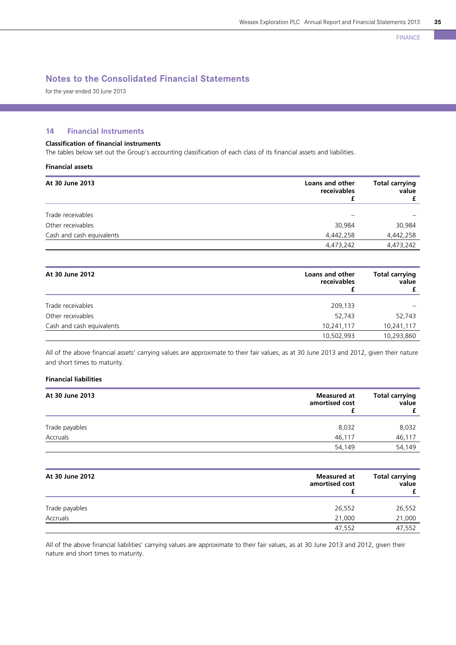# **Notes to the Consolidated Financial Statements**

for the year ended 30 June 2013

# **14 Financial Instruments**

#### **Classification of financial instruments**

The tables below set out the Group's accounting classification of each class of its financial assets and liabilities.

## **Financial assets**

| At 30 June 2013           | Loans and other<br>receivables | <b>Total carrying</b><br>value |
|---------------------------|--------------------------------|--------------------------------|
| Trade receivables         |                                |                                |
| Other receivables         | 30,984                         | 30,984                         |
| Cash and cash equivalents | 4,442,258                      | 4,442,258                      |
|                           | 4,473,242                      | 4,473,242                      |

| At 30 June 2012           | Loans and other<br>receivables | <b>Total carrying</b><br>value |
|---------------------------|--------------------------------|--------------------------------|
| Trade receivables         | 209,133                        |                                |
| Other receivables         | 52,743                         | 52,743                         |
| Cash and cash equivalents | 10,241,117                     | 10,241,117                     |
|                           | 10,502,993                     | 10,293,860                     |

All of the above financial assets' carrying values are approximate to their fair values, as at 30 June 2013 and 2012, given their nature and short times to maturity.

# **Financial liabilities**

| At 30 June 2013 | Measured at<br>amortised cost | <b>Total carrying</b><br>value |
|-----------------|-------------------------------|--------------------------------|
| Trade payables  | 8,032                         | 8,032                          |
| Accruals        | 46,117                        | 46,117                         |
|                 | 54,149                        | 54,149                         |

| At 30 June 2012 | <b>Measured at</b><br>amortised cost | Total carrying<br>value |
|-----------------|--------------------------------------|-------------------------|
| Trade payables  | 26,552                               | 26,552                  |
| Accruals        | 21,000                               | 21,000                  |
|                 | 47,552                               | 47,552                  |

All of the above financial liabilities' carrying values are approximate to their fair values, as at 30 June 2013 and 2012, given their nature and short times to maturity.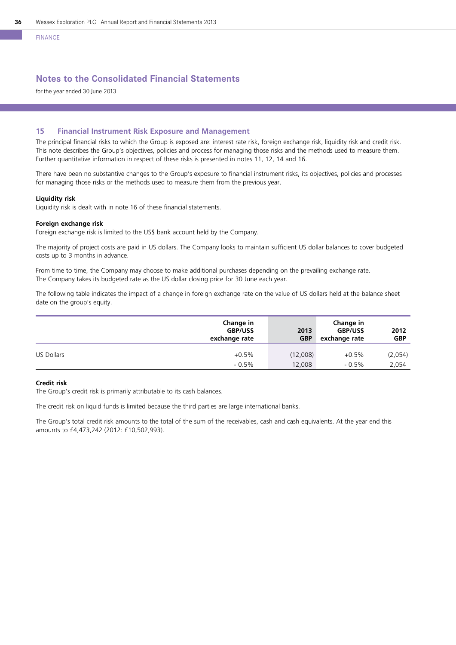# **Notes to the Consolidated Financial Statements**

for the year ended 30 June 2013

## **15 Financial Instrument Risk Exposure and Management**

The principal financial risks to which the Group is exposed are: interest rate risk, foreign exchange risk, liquidity risk and credit risk. This note describes the Group's objectives, policies and process for managing those risks and the methods used to measure them. Further quantitative information in respect of these risks is presented in notes 11, 12, 14 and 16.

There have been no substantive changes to the Group's exposure to financial instrument risks, its objectives, policies and processes for managing those risks or the methods used to measure them from the previous year.

# **Liquidity risk**

Liquidity risk is dealt with in note 16 of these financial statements.

#### **Foreign exchange risk**

Foreign exchange risk is limited to the US\$ bank account held by the Company.

The majority of project costs are paid in US dollars. The Company looks to maintain sufficient US dollar balances to cover budgeted costs up to 3 months in advance.

From time to time, the Company may choose to make additional purchases depending on the prevailing exchange rate. The Company takes its budgeted rate as the US dollar closing price for 30 June each year.

The following table indicates the impact of a change in foreign exchange rate on the value of US dollars held at the balance sheet date on the group's equity.

|            | Change in<br>GBP/USS<br>exchange rate | 2013<br><b>GBP</b> | Change in<br><b>GBP/USS</b><br>exchange rate | 2012<br>GBP |
|------------|---------------------------------------|--------------------|----------------------------------------------|-------------|
| US Dollars | $+0.5\%$                              | (12,008)           | $+0.5\%$                                     | (2,054)     |
|            | $-0.5\%$                              | 12,008             | $-0.5%$                                      | 2.054       |

# **Credit risk**

The Group's credit risk is primarily attributable to its cash balances.

The credit risk on liquid funds is limited because the third parties are large international banks.

The Group's total credit risk amounts to the total of the sum of the receivables, cash and cash equivalents. At the year end this amounts to £4,473,242 (2012: £10,502,993).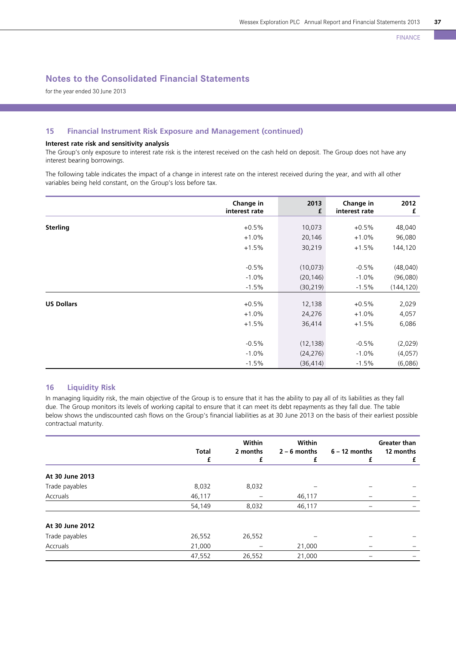# **Notes to the Consolidated Financial Statements**

for the year ended 30 June 2013

# **15 Financial Instrument Risk Exposure and Management (continued)**

#### **Interest rate risk and sensitivity analysis**

The Group's only exposure to interest rate risk is the interest received on the cash held on deposit. The Group does not have any interest bearing borrowings.

The following table indicates the impact of a change in interest rate on the interest received during the year, and with all other variables being held constant, on the Group's loss before tax.

|                   | Change in<br>interest rate | 2013<br>£ | Change in<br>interest rate | 2012<br>£  |
|-------------------|----------------------------|-----------|----------------------------|------------|
|                   |                            |           |                            |            |
| <b>Sterling</b>   | $+0.5%$                    | 10,073    | $+0.5%$                    | 48,040     |
|                   | $+1.0%$                    | 20,146    | $+1.0%$                    | 96,080     |
|                   | $+1.5%$                    | 30,219    | $+1.5%$                    | 144,120    |
|                   |                            |           |                            |            |
|                   | $-0.5%$                    | (10,073)  | $-0.5%$                    | (48, 040)  |
|                   | $-1.0%$                    | (20, 146) | $-1.0%$                    | (96,080)   |
|                   | $-1.5%$                    | (30, 219) | $-1.5%$                    | (144, 120) |
| <b>US Dollars</b> | $+0.5%$                    | 12,138    | $+0.5%$                    | 2,029      |
|                   | $+1.0%$                    | 24,276    | $+1.0%$                    | 4,057      |
|                   | $+1.5%$                    | 36,414    | $+1.5%$                    | 6,086      |
|                   |                            |           |                            |            |
|                   | $-0.5%$                    | (12, 138) | $-0.5%$                    | (2,029)    |
|                   | $-1.0%$                    | (24, 276) | $-1.0%$                    | (4,057)    |
|                   | $-1.5%$                    | (36, 414) | $-1.5%$                    | (6,086)    |

# **16 Liquidity Risk**

In managing liquidity risk, the main objective of the Group is to ensure that it has the ability to pay all of its liabilities as they fall due. The Group monitors its levels of working capital to ensure that it can meet its debt repayments as they fall due. The table below shows the undiscounted cash flows on the Group's financial liabilities as at 30 June 2013 on the basis of their earliest possible contractual maturity.

|                 | <b>Total</b> | Within<br>2 months | Within<br>$2 - 6$ months | $6 - 12$ months | <b>Greater than</b><br>12 months |
|-----------------|--------------|--------------------|--------------------------|-----------------|----------------------------------|
|                 | £            | £                  | £                        |                 | £                                |
| At 30 June 2013 |              |                    |                          |                 |                                  |
| Trade payables  | 8,032        | 8,032              |                          |                 |                                  |
| Accruals        | 46,117       |                    | 46,117                   |                 |                                  |
|                 | 54,149       | 8,032              | 46,117                   | -               |                                  |
| At 30 June 2012 |              |                    |                          |                 |                                  |
| Trade payables  | 26,552       | 26,552             |                          |                 |                                  |
| Accruals        | 21,000       |                    | 21,000                   | -               |                                  |
|                 | 47,552       | 26,552             | 21,000                   |                 |                                  |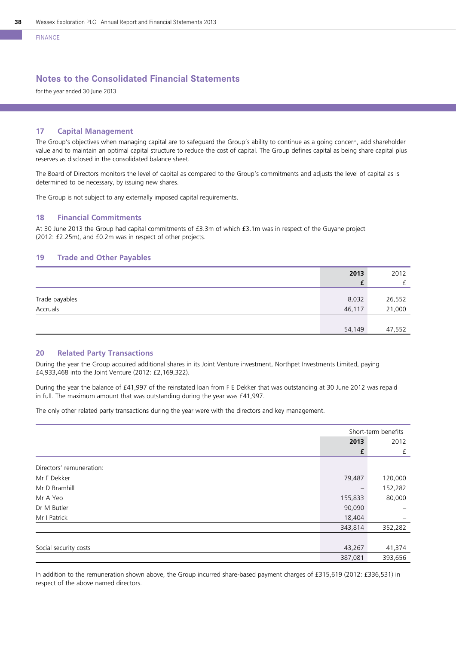# **Notes to the Consolidated Financial Statements**

for the year ended 30 June 2013

# **17 Capital Management**

The Group's objectives when managing capital are to safeguard the Group's ability to continue as a going concern, add shareholder value and to maintain an optimal capital structure to reduce the cost of capital. The Group defines capital as being share capital plus reserves as disclosed in the consolidated balance sheet.

The Board of Directors monitors the level of capital as compared to the Group's commitments and adjusts the level of capital as is determined to be necessary, by issuing new shares.

The Group is not subject to any externally imposed capital requirements.

# **18 Financial Commitments**

At 30 June 2013 the Group had capital commitments of £3.3m of which £3.1m was in respect of the Guyane project (2012: £2.25m), and £0.2m was in respect of other projects.

# **19 Trade and Other Payables**

|                            | 2013   | 2012   |
|----------------------------|--------|--------|
|                            |        |        |
|                            |        |        |
|                            | 8,032  | 26,552 |
| Trade payables<br>Accruals | 46,117 | 21,000 |
|                            |        |        |
|                            | 54,149 | 47,552 |

## **20 Related Party Transactions**

During the year the Group acquired additional shares in its Joint Venture investment, Northpet Investments Limited, paying £4,933,468 into the Joint Venture (2012: £2,169,322).

During the year the balance of £41,997 of the reinstated loan from F E Dekker that was outstanding at 30 June 2012 was repaid in full. The maximum amount that was outstanding during the year was £41,997.

The only other related party transactions during the year were with the directors and key management.

|                          | Short-term benefits |         |
|--------------------------|---------------------|---------|
|                          | 2013                | 2012    |
|                          | £                   | £       |
| Directors' remuneration: |                     |         |
| Mr F Dekker              | 79,487              | 120,000 |
| Mr D Bramhill            |                     | 152,282 |
| Mr A Yeo                 | 155,833             | 80,000  |
| Dr M Butler              | 90,090              |         |
| Mr I Patrick             | 18,404              |         |
|                          | 343,814             | 352,282 |
|                          |                     |         |
| Social security costs    | 43,267              | 41,374  |
|                          | 387,081             | 393,656 |

In addition to the remuneration shown above, the Group incurred share-based payment charges of £315,619 (2012: £336,531) in respect of the above named directors.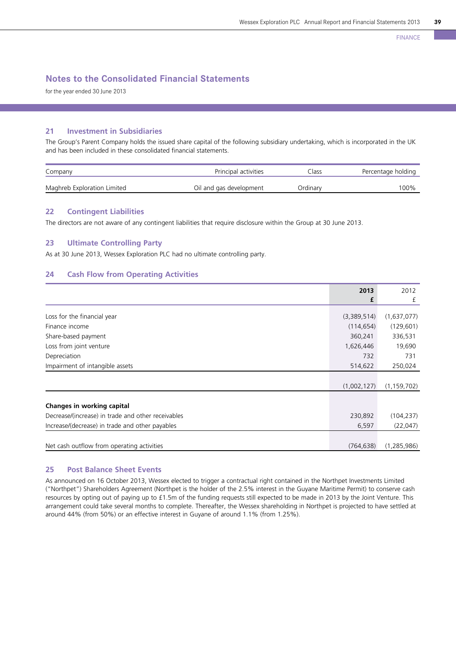# **Notes to the Consolidated Financial Statements**

for the year ended 30 June 2013

# **21 Investment in Subsidiaries**

The Group's Parent Company holds the issued share capital of the following subsidiary undertaking, which is incorporated in the UK and has been included in these consolidated financial statements.

| Company                     | Principal activities    | Class    | Percentage holding |
|-----------------------------|-------------------------|----------|--------------------|
| Maghreb Exploration Limited | Oil and gas development | Ordinarv | 100%               |

# **22 Contingent Liabilities**

The directors are not aware of any contingent liabilities that require disclosure within the Group at 30 June 2013.

# **23 Ultimate Controlling Party**

As at 30 June 2013, Wessex Exploration PLC had no ultimate controlling party.

# **24 Cash Flow from Operating Activities**

|                                                    | 2013        | 2012          |
|----------------------------------------------------|-------------|---------------|
|                                                    | £           | £             |
|                                                    |             |               |
| Loss for the financial year                        | (3,389,514) | (1,637,077)   |
| Finance income                                     | (114, 654)  | (129, 601)    |
| Share-based payment                                | 360,241     | 336,531       |
| Loss from joint venture                            | 1,626,446   | 19,690        |
| Depreciation                                       | 732         | 731           |
| Impairment of intangible assets                    | 514,622     | 250,024       |
|                                                    |             |               |
|                                                    | (1,002,127) | (1, 159, 702) |
|                                                    |             |               |
| Changes in working capital                         |             |               |
| Decrease/(increase) in trade and other receivables | 230,892     | (104, 237)    |
| Increase/(decrease) in trade and other payables    | 6,597       | (22, 047)     |
|                                                    |             |               |
| Net cash outflow from operating activities         | (764, 638)  | (1,285,986)   |

# **25 Post Balance Sheet Events**

As announced on 16 October 2013, Wessex elected to trigger a contractual right contained in the Northpet Investments Limited ("Northpet") Shareholders Agreement (Northpet is the holder of the 2.5% interest in the Guyane Maritime Permit) to conserve cash resources by opting out of paying up to £1.5m of the funding requests still expected to be made in 2013 by the Joint Venture. This arrangement could take several months to complete. Thereafter, the Wessex shareholding in Northpet is projected to have settled at around 44% (from 50%) or an effective interest in Guyane of around 1.1% (from 1.25%).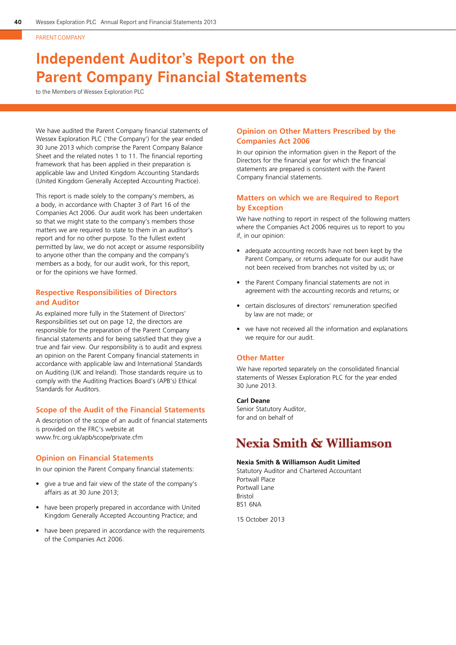# **Independent Auditor's Report on the Parent Company Financial Statements**

to the Members of Wessex Exploration PLC

We have audited the Parent Company financial statements of Wessex Exploration PLC ('the Company') for the year ended 30 June 2013 which comprise the Parent Company Balance Sheet and the related notes 1 to 11. The financial reporting framework that has been applied in their preparation is applicable law and United Kingdom Accounting Standards (United Kingdom Generally Accepted Accounting Practice).

This report is made solely to the company's members, as a body, in accordance with Chapter 3 of Part 16 of the Companies Act 2006. Our audit work has been undertaken so that we might state to the company's members those matters we are required to state to them in an auditor's report and for no other purpose. To the fullest extent permitted by law, we do not accept or assume responsibility to anyone other than the company and the company's members as a body, for our audit work, for this report, or for the opinions we have formed.

# **Respective Responsibilities of Directors and Auditor**

As explained more fully in the Statement of Directors' Responsibilities set out on page 12, the directors are responsible for the preparation of the Parent Company financial statements and for being satisfied that they give a true and fair view. Our responsibility is to audit and express an opinion on the Parent Company financial statements in accordance with applicable law and International Standards on Auditing (UK and Ireland). Those standards require us to comply with the Auditing Practices Board's (APB's) Ethical Standards for Auditors.

# **Scope of the Audit of the Financial Statements**

A description of the scope of an audit of financial statements is provided on the FRC's website at www.frc.org.uk/apb/scope/private.cfm

### **Opinion on Financial Statements**

In our opinion the Parent Company financial statements:

- give a true and fair view of the state of the company's affairs as at 30 June 2013;
- have been properly prepared in accordance with United Kingdom Generally Accepted Accounting Practice; and
- have been prepared in accordance with the requirements of the Companies Act 2006.

# **Opinion on Other Matters Prescribed by the Companies Act 2006**

In our opinion the information given in the Report of the Directors for the financial year for which the financial statements are prepared is consistent with the Parent Company financial statements.

# **Matters on which we are Required to Report by Exception**

We have nothing to report in respect of the following matters where the Companies Act 2006 requires us to report to you if, in our opinion:

- adequate accounting records have not been kept by the Parent Company, or returns adequate for our audit have not been received from branches not visited by us; or
- the Parent Company financial statements are not in agreement with the accounting records and returns; or
- • certain disclosures of directors' remuneration specified by law are not made; or
- we have not received all the information and explanations we require for our audit.

### **Other Matter**

We have reported separately on the consolidated financial statements of Wessex Exploration PLC for the year ended 30 June 2013.

#### **Carl Deane**

Senior Statutory Auditor, for and on behalf of

# Nexia Smith & Williamson

#### **Nexia Smith & Williamson Audit Limited**

Statutory Auditor and Chartered Accountant Portwall Place Portwall Lane Bristol BS1 6NA

15 October 2013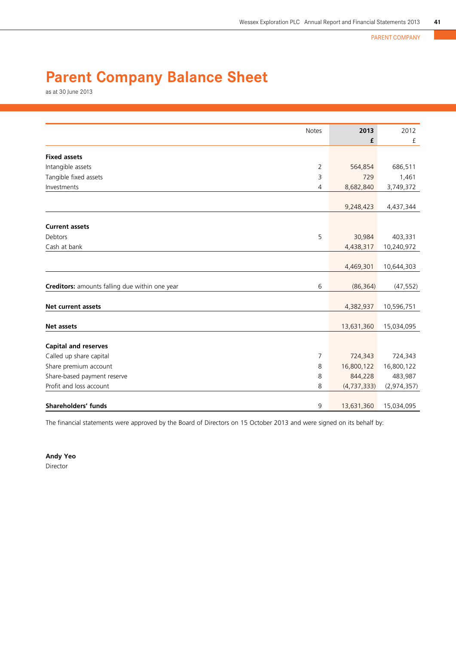# **Parent Company Balance Sheet**

as at 30 June 2013

|                                                | Notes          | 2013          | 2012        |
|------------------------------------------------|----------------|---------------|-------------|
|                                                |                | £             | £           |
| <b>Fixed assets</b>                            |                |               |             |
| Intangible assets                              | $\overline{2}$ | 564,854       | 686,511     |
| Tangible fixed assets                          | 3              | 729           | 1,461       |
| Investments                                    | 4              | 8,682,840     | 3,749,372   |
|                                                |                |               |             |
|                                                |                | 9,248,423     | 4,437,344   |
| <b>Current assets</b>                          |                |               |             |
| Debtors                                        | 5              | 30,984        | 403,331     |
| Cash at bank                                   |                | 4,438,317     | 10,240,972  |
|                                                |                |               |             |
|                                                |                | 4,469,301     | 10,644,303  |
| Creditors: amounts falling due within one year | 6              | (86, 364)     | (47, 552)   |
|                                                |                |               |             |
| Net current assets                             |                | 4,382,937     | 10,596,751  |
|                                                |                |               |             |
| Net assets                                     |                | 13,631,360    | 15,034,095  |
| <b>Capital and reserves</b>                    |                |               |             |
| Called up share capital                        | $\overline{7}$ | 724,343       | 724,343     |
| Share premium account                          | 8              | 16,800,122    | 16,800,122  |
| Share-based payment reserve                    | 8              | 844,228       | 483,987     |
| Profit and loss account                        | 8              | (4, 737, 333) | (2,974,357) |
|                                                |                |               |             |
| Shareholders' funds                            | 9              | 13,631,360    | 15,034,095  |

The financial statements were approved by the Board of Directors on 15 October 2013 and were signed on its behalf by:

**Andy Yeo**

Director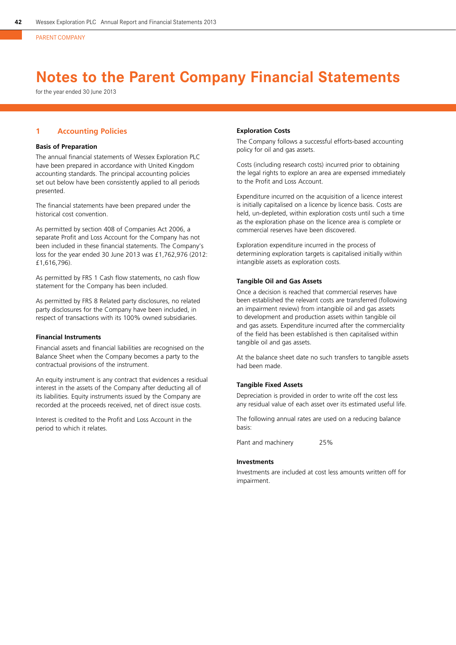for the year ended 30 June 2013

## **1 Accounting Policies**

#### **Basis of Preparation**

The annual financial statements of Wessex Exploration PLC have been prepared in accordance with United Kingdom accounting standards. The principal accounting policies set out below have been consistently applied to all periods presented.

The financial statements have been prepared under the historical cost convention.

As permitted by section 408 of Companies Act 2006, a separate Profit and Loss Account for the Company has not been included in these financial statements. The Company's loss for the year ended 30 June 2013 was £1,762,976 (2012: £1,616,796).

As permitted by FRS 1 Cash flow statements, no cash flow statement for the Company has been included.

As permitted by FRS 8 Related party disclosures, no related party disclosures for the Company have been included, in respect of transactions with its 100% owned subsidiaries.

#### **Financial Instruments**

Financial assets and financial liabilities are recognised on the Balance Sheet when the Company becomes a party to the contractual provisions of the instrument.

An equity instrument is any contract that evidences a residual interest in the assets of the Company after deducting all of its liabilities. Equity instruments issued by the Company are recorded at the proceeds received, net of direct issue costs.

Interest is credited to the Profit and Loss Account in the period to which it relates.

## **Exploration Costs**

The Company follows a successful efforts-based accounting policy for oil and gas assets.

Costs (including research costs) incurred prior to obtaining the legal rights to explore an area are expensed immediately to the Profit and Loss Account.

Expenditure incurred on the acquisition of a licence interest is initially capitalised on a licence by licence basis. Costs are held, un-depleted, within exploration costs until such a time as the exploration phase on the licence area is complete or commercial reserves have been discovered.

Exploration expenditure incurred in the process of determining exploration targets is capitalised initially within intangible assets as exploration costs.

#### **Tangible Oil and Gas Assets**

Once a decision is reached that commercial reserves have been established the relevant costs are transferred (following an impairment review) from intangible oil and gas assets to development and production assets within tangible oil and gas assets. Expenditure incurred after the commerciality of the field has been established is then capitalised within tangible oil and gas assets.

At the balance sheet date no such transfers to tangible assets had been made.

#### **Tangible Fixed Assets**

Depreciation is provided in order to write off the cost less any residual value of each asset over its estimated useful life.

The following annual rates are used on a reducing balance basis:

Plant and machinery 25%

#### **Investments**

Investments are included at cost less amounts written off for impairment.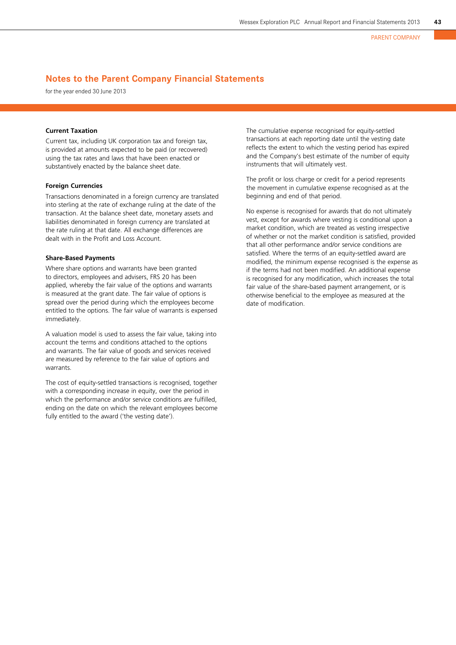for the year ended 30 June 2013

## **Current Taxation**

Current tax, including UK corporation tax and foreign tax, is provided at amounts expected to be paid (or recovered) using the tax rates and laws that have been enacted or substantively enacted by the balance sheet date.

#### **Foreign Currencies**

Transactions denominated in a foreign currency are translated into sterling at the rate of exchange ruling at the date of the transaction. At the balance sheet date, monetary assets and liabilities denominated in foreign currency are translated at the rate ruling at that date. All exchange differences are dealt with in the Profit and Loss Account.

#### **Share-Based Payments**

Where share options and warrants have been granted to directors, employees and advisers, FRS 20 has been applied, whereby the fair value of the options and warrants is measured at the grant date. The fair value of options is spread over the period during which the employees become entitled to the options. The fair value of warrants is expensed immediately.

A valuation model is used to assess the fair value, taking into account the terms and conditions attached to the options and warrants. The fair value of goods and services received are measured by reference to the fair value of options and warrants.

The cost of equity-settled transactions is recognised, together with a corresponding increase in equity, over the period in which the performance and/or service conditions are fulfilled, ending on the date on which the relevant employees become fully entitled to the award ('the vesting date').

The cumulative expense recognised for equity-settled transactions at each reporting date until the vesting date reflects the extent to which the vesting period has expired and the Company's best estimate of the number of equity instruments that will ultimately vest.

The profit or loss charge or credit for a period represents the movement in cumulative expense recognised as at the beginning and end of that period.

No expense is recognised for awards that do not ultimately vest, except for awards where vesting is conditional upon a market condition, which are treated as vesting irrespective of whether or not the market condition is satisfied, provided that all other performance and/or service conditions are satisfied. Where the terms of an equity-settled award are modified, the minimum expense recognised is the expense as if the terms had not been modified. An additional expense is recognised for any modification, which increases the total fair value of the share-based payment arrangement, or is otherwise beneficial to the employee as measured at the date of modification.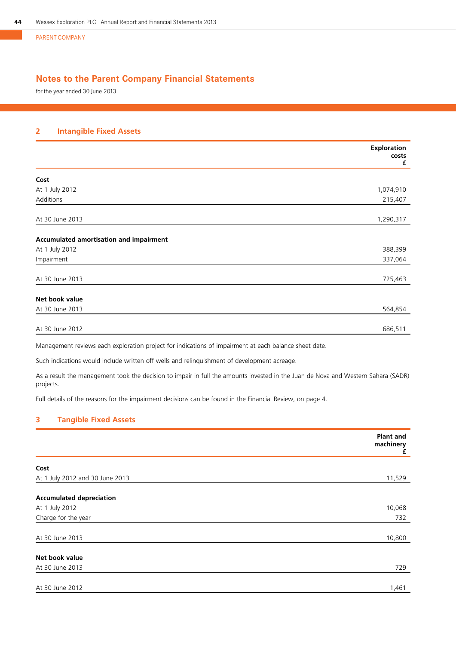PARENT COMPANY

# **Notes to the Parent Company Financial Statements**

for the year ended 30 June 2013

# **2 Intangible Fixed Assets**

|                                         | <b>Exploration</b><br>costs<br>£ |
|-----------------------------------------|----------------------------------|
| Cost                                    |                                  |
| At 1 July 2012                          | 1,074,910                        |
| Additions                               | 215,407                          |
| At 30 June 2013                         | 1,290,317                        |
| Accumulated amortisation and impairment |                                  |
| At 1 July 2012                          | 388,399                          |
| Impairment                              | 337,064                          |
| At 30 June 2013                         | 725,463                          |
| Net book value                          |                                  |
| At 30 June 2013                         | 564,854                          |
| At 30 June 2012                         | 686,511                          |

Management reviews each exploration project for indications of impairment at each balance sheet date.

Such indications would include written off wells and relinquishment of development acreage.

As a result the management took the decision to impair in full the amounts invested in the Juan de Nova and Western Sahara (SADR) projects.

Full details of the reasons for the impairment decisions can be found in the Financial Review, on page 4.

# **3 Tangible Fixed Assets**

|                                 | <b>Plant and</b><br>machinery<br>£ |
|---------------------------------|------------------------------------|
| Cost                            |                                    |
| At 1 July 2012 and 30 June 2013 | 11,529                             |
| <b>Accumulated depreciation</b> |                                    |
| At 1 July 2012                  | 10,068                             |
| Charge for the year             | 732                                |
| At 30 June 2013                 | 10,800                             |
| Net book value                  |                                    |
| At 30 June 2013                 | 729                                |
| At 30 June 2012                 | 1,461                              |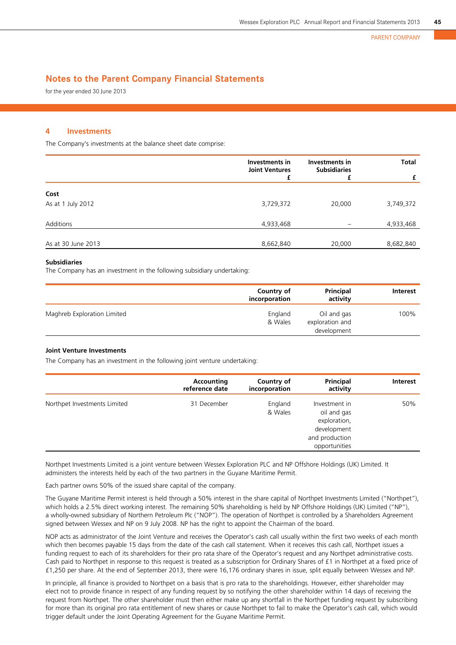for the year ended 30 June 2013

# **4 Investments**

The Company's investments at the balance sheet date comprise:

|                    | Investments in<br><b>Joint Ventures</b><br>£ | Investments in<br><b>Subsidiaries</b><br>£ | <b>Total</b><br>£ |
|--------------------|----------------------------------------------|--------------------------------------------|-------------------|
| Cost               |                                              |                                            |                   |
| As at 1 July 2012  | 3,729,372                                    | 20,000                                     | 3,749,372         |
| Additions          | 4,933,468                                    |                                            | 4,933,468         |
| As at 30 June 2013 | 8,662,840                                    | 20,000                                     | 8,682,840         |

#### **Subsidiaries**

The Company has an investment in the following subsidiary undertaking:

|                             | Country of<br>incorporation | Principal<br>activity                         | <b>Interest</b> |
|-----------------------------|-----------------------------|-----------------------------------------------|-----------------|
| Maghreb Exploration Limited | England<br>& Wales          | Oil and gas<br>exploration and<br>development | 100%            |

## **Joint Venture Investments**

The Company has an investment in the following joint venture undertaking:

|                              | Accounting     | Country of         | Principal                                                   | <b>Interest</b> |
|------------------------------|----------------|--------------------|-------------------------------------------------------------|-----------------|
|                              | reference date | incorporation      | activity                                                    |                 |
| Northpet Investments Limited | 31 December    | England<br>& Wales | Investment in<br>oil and gas<br>exploration,<br>development | 50%             |
|                              |                |                    | and production<br>opportunities                             |                 |

Northpet Investments Limited is a joint venture between Wessex Exploration PLC and NP Offshore Holdings (UK) Limited. It administers the interests held by each of the two partners in the Guyane Maritime Permit.

Each partner owns 50% of the issued share capital of the company.

The Guyane Maritime Permit interest is held through a 50% interest in the share capital of Northpet Investments Limited ("Northpet"), which holds a 2.5% direct working interest. The remaining 50% shareholding is held by NP Offshore Holdings (UK) Limited ("NP"), a wholly-owned subsidiary of Northern Petroleum Plc ("NOP"). The operation of Northpet is controlled by a Shareholders Agreement signed between Wessex and NP on 9 July 2008. NP has the right to appoint the Chairman of the board.

NOP acts as administrator of the Joint Venture and receives the Operator's cash call usually within the first two weeks of each month which then becomes payable 15 days from the date of the cash call statement. When it receives this cash call, Northpet issues a funding request to each of its shareholders for their pro rata share of the Operator's request and any Northpet administrative costs. Cash paid to Northpet in response to this request is treated as a subscription for Ordinary Shares of £1 in Northpet at a fixed price of £1,250 per share. At the end of September 2013, there were 16,176 ordinary shares in issue, split equally between Wessex and NP.

In principle, all finance is provided to Northpet on a basis that is pro rata to the shareholdings. However, either shareholder may elect not to provide finance in respect of any funding request by so notifying the other shareholder within 14 days of receiving the request from Northpet. The other shareholder must then either make up any shortfall in the Northpet funding request by subscribing for more than its original pro rata entitlement of new shares or cause Northpet to fail to make the Operator's cash call, which would trigger default under the Joint Operating Agreement for the Guyane Maritime Permit.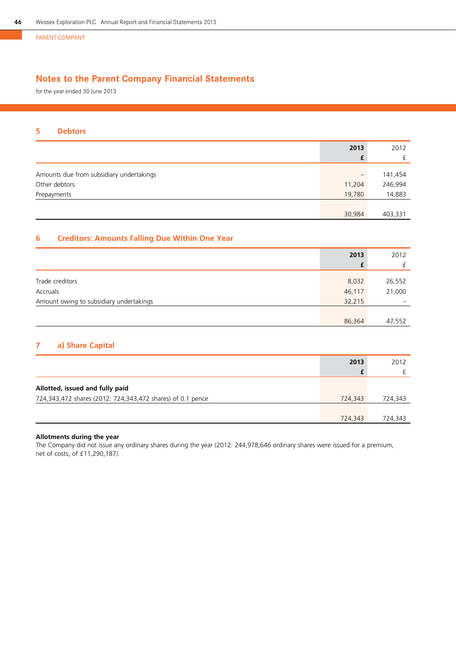PARENT COMPANY

# **Notes to the Parent Company Financial Statements**

for the year ended 30 June 2013

# **5 Debtors**

|                                          | 2013   | 2012    |
|------------------------------------------|--------|---------|
|                                          |        |         |
|                                          |        |         |
| Amounts due from subsidiary undertakings |        | 141,454 |
| Other debtors                            | 11,204 | 246,994 |
| Prepayments                              | 19,780 | 14,883  |
|                                          |        |         |
|                                          | 30,984 | 403,331 |

# **6 Creditors: Amounts Falling Due Within One Year**

|                                         | 2013   | 2012                     |
|-----------------------------------------|--------|--------------------------|
|                                         |        |                          |
|                                         |        |                          |
| Trade creditors                         | 8,032  | 26,552                   |
| Accruals                                | 46,117 | 21,000                   |
| Amount owing to subsidiary undertakings | 32,215 | $\overline{\phantom{a}}$ |
|                                         |        |                          |
|                                         | 86,364 | 47,552                   |

# **7 a) Share Capital**

|                                                            | 2013    | 2012    |
|------------------------------------------------------------|---------|---------|
|                                                            |         |         |
| Allotted, issued and fully paid                            |         |         |
| 724,343,472 shares (2012: 724,343,472 shares) of 0.1 pence | 724,343 | 724,343 |
|                                                            |         |         |
|                                                            | 724,343 | 724.343 |

### **Allotments during the year**

The Company did not issue any ordinary shares during the year (2012: 244,978,646 ordinary shares were issued for a premium, net of costs, of £11,290,187).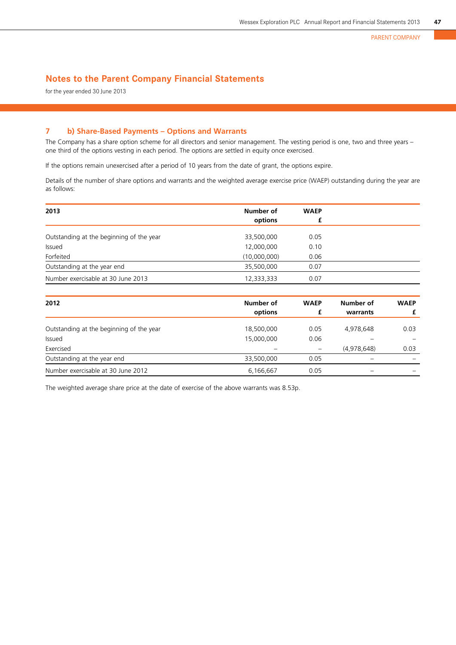for the year ended 30 June 2013

# **7 b) Share-Based Payments – Options and Warrants**

The Company has a share option scheme for all directors and senior management. The vesting period is one, two and three years one third of the options vesting in each period. The options are settled in equity once exercised.

If the options remain unexercised after a period of 10 years from the date of grant, the options expire.

Details of the number of share options and warrants and the weighted average exercise price (WAEP) outstanding during the year are as follows:

| 2013                                     | Number of    | <b>WAEP</b> |  |
|------------------------------------------|--------------|-------------|--|
|                                          | options      |             |  |
| Outstanding at the beginning of the year | 33,500,000   | 0.05        |  |
|                                          |              |             |  |
| Issued                                   | 12,000,000   | 0.10        |  |
| Forfeited                                | (10,000,000) | 0.06        |  |
| Outstanding at the year end              | 35,500,000   | 0.07        |  |
| Number exercisable at 30 June 2013       | 12,333,333   | 0.07        |  |

| 2012                                     | Number of  | <b>WAEP</b> | Number of   | <b>WAEP</b> |
|------------------------------------------|------------|-------------|-------------|-------------|
|                                          | options    | £           | warrants    |             |
| Outstanding at the beginning of the year | 18,500,000 | 0.05        | 4,978,648   | 0.03        |
| Issued                                   | 15,000,000 | 0.06        |             |             |
| Exercised                                |            |             | (4,978,648) | 0.03        |
| Outstanding at the year end              | 33,500,000 | 0.05        |             |             |
| Number exercisable at 30 June 2012       | 6,166,667  | 0.05        |             |             |

The weighted average share price at the date of exercise of the above warrants was 8.53p.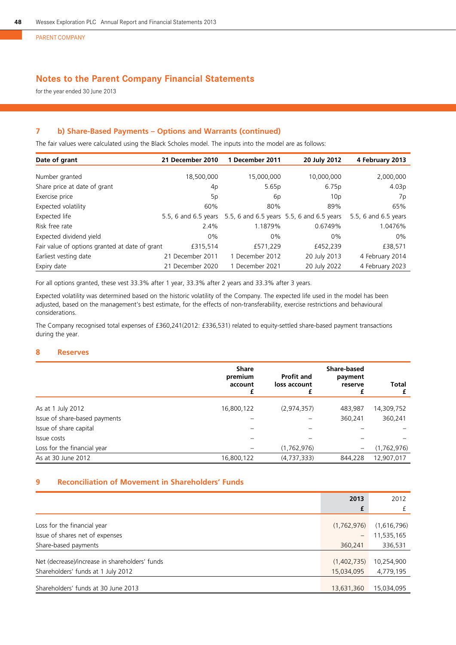for the year ended 30 June 2013

# **7 b) Share-Based Payments – Options and Warrants (continued)**

The fair values were calculated using the Black Scholes model. The inputs into the model are as follows:

| Date of grant                                  | 21 December 2010     | 1 December 2011   | 20 July 2012                              | 4 February 2013      |
|------------------------------------------------|----------------------|-------------------|-------------------------------------------|----------------------|
|                                                |                      |                   |                                           |                      |
| Number granted                                 | 18,500,000           | 15,000,000        | 10,000,000                                | 2,000,000            |
| Share price at date of grant                   | 4p                   | 5.65 <sub>p</sub> | 6.75p                                     | 4.03 <sub>p</sub>    |
| Exercise price                                 | 5p                   | 6p                | 10 <sub>p</sub>                           | 7p                   |
| Expected volatility                            | 60%                  | 80%               | 89%                                       | 65%                  |
| Expected life                                  | 5.5, 6 and 6.5 years |                   | 5.5, 6 and 6.5 years 5.5, 6 and 6.5 years | 5.5, 6 and 6.5 years |
| Risk free rate                                 | $2.4\%$              | 1.1879%           | 0.6749%                                   | 1.0476%              |
| Expected dividend yield                        | $0\%$                | $0\%$             | 0%                                        | $0\%$                |
| Fair value of options granted at date of grant | £315,514             | £571.229          | £452.239                                  | £38,571              |
| Earliest vesting date                          | 21 December 2011     | 1 December 2012   | 20 July 2013                              | 4 February 2014      |
| Expiry date                                    | 21 December 2020     | 1 December 2021   | 20 July 2022                              | 4 February 2023      |

For all options granted, these vest 33.3% after 1 year, 33.3% after 2 years and 33.3% after 3 years.

Expected volatility was determined based on the historic volatility of the Company. The expected life used in the model has been adjusted, based on the management's best estimate, for the effects of non-transferability, exercise restrictions and behavioural considerations.

The Company recognised total expenses of £360,241(2012: £336,531) related to equity-settled share-based payment transactions during the year.

# **8 Reserves**

|                               | <b>Share</b><br>premium<br>account | <b>Profit and</b><br>loss account<br>£ | <b>Share-based</b><br>payment<br>reserve | <b>Total</b> |
|-------------------------------|------------------------------------|----------------------------------------|------------------------------------------|--------------|
|                               |                                    |                                        |                                          |              |
| As at 1 July 2012             | 16,800,122                         | (2,974,357)                            | 483,987                                  | 14,309,752   |
| Issue of share-based payments |                                    |                                        | 360,241                                  | 360,241      |
| Issue of share capital        |                                    |                                        |                                          |              |
| Issue costs                   |                                    |                                        |                                          |              |
| Loss for the financial year   |                                    | (1,762,976)                            |                                          | (1,762,976)  |
| As at 30 June 2012            | 16,800,122                         | (4,737,333)                            | 844.228                                  | 12,907,017   |

# **9 Reconciliation of Movement in Shareholders' Funds**

|                                                | 2013        | 2012        |
|------------------------------------------------|-------------|-------------|
|                                                | £           |             |
|                                                |             |             |
| Loss for the financial year                    | (1,762,976) | (1,616,796) |
| Issue of shares net of expenses                |             | 11,535,165  |
| Share-based payments                           | 360,241     | 336,531     |
|                                                |             |             |
| Net (decrease)/increase in shareholders' funds | (1,402,735) | 10,254,900  |
| Shareholders' funds at 1 July 2012             | 15,034,095  | 4,779,195   |
|                                                |             |             |
| Shareholders' funds at 30 June 2013            | 13,631,360  | 15,034,095  |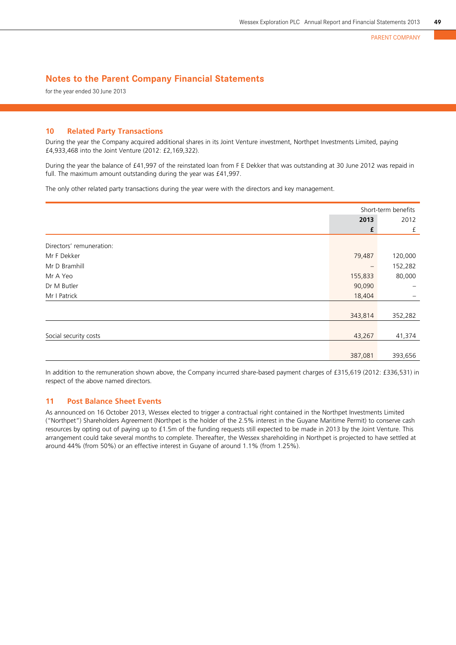for the year ended 30 June 2013

# **10 Related Party Transactions**

During the year the Company acquired additional shares in its Joint Venture investment, Northpet Investments Limited, paying £4,933,468 into the Joint Venture (2012: £2,169,322).

During the year the balance of £41,997 of the reinstated loan from F E Dekker that was outstanding at 30 June 2012 was repaid in full. The maximum amount outstanding during the year was £41,997.

The only other related party transactions during the year were with the directors and key management.

|                          | Short-term benefits |           |
|--------------------------|---------------------|-----------|
|                          | 2013                | 2012      |
|                          | £                   | $f_{\rm}$ |
| Directors' remuneration: |                     |           |
| Mr F Dekker              | 79,487              | 120,000   |
| Mr D Bramhill            |                     | 152,282   |
| Mr A Yeo                 | 155,833             | 80,000    |
| Dr M Butler              | 90,090              |           |
| Mr I Patrick             | 18,404              |           |
|                          |                     |           |
|                          | 343,814             | 352,282   |
|                          |                     |           |
| Social security costs    | 43,267              | 41,374    |
|                          |                     |           |
|                          | 387,081             | 393,656   |

In addition to the remuneration shown above, the Company incurred share-based payment charges of £315,619 (2012: £336,531) in respect of the above named directors.

#### **11 Post Balance Sheet Events**

As announced on 16 October 2013, Wessex elected to trigger a contractual right contained in the Northpet Investments Limited ("Northpet") Shareholders Agreement (Northpet is the holder of the 2.5% interest in the Guyane Maritime Permit) to conserve cash resources by opting out of paying up to £1.5m of the funding requests still expected to be made in 2013 by the Joint Venture. This arrangement could take several months to complete. Thereafter, the Wessex shareholding in Northpet is projected to have settled at around 44% (from 50%) or an effective interest in Guyane of around 1.1% (from 1.25%).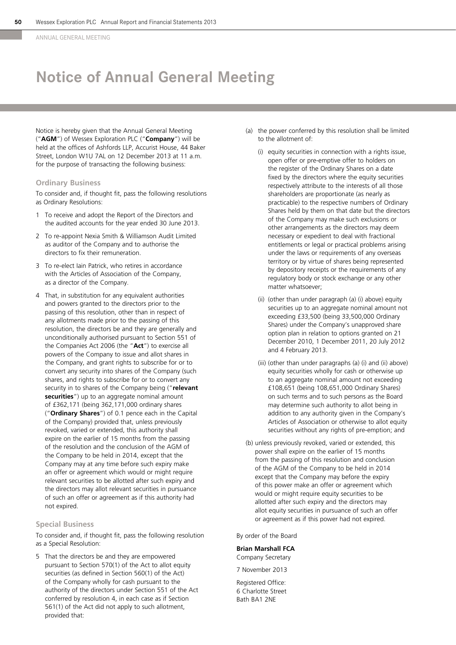ANNUAL GENERAL MEETING

# **Notice of Annual General Meeting**

Notice is hereby given that the Annual General Meeting ("**AGM**") of Wessex Exploration PLC ("**Company**") will be held at the offices of Ashfords LLP, Accurist House, 44 Baker Street, London W1U 7AL on 12 December 2013 at 11 a.m. for the purpose of transacting the following business:

#### **Ordinary Business**

To consider and, if thought fit, pass the following resolutions as Ordinary Resolutions:

- 1 To receive and adopt the Report of the Directors and the audited accounts for the year ended 30 June 2013.
- 2 To re-appoint Nexia Smith & Williamson Audit Limited as auditor of the Company and to authorise the directors to fix their remuneration.
- 3 To re-elect Iain Patrick, who retires in accordance with the Articles of Association of the Company, as a director of the Company.
- 4 That, in substitution for any equivalent authorities and powers granted to the directors prior to the passing of this resolution, other than in respect of any allotments made prior to the passing of this resolution, the directors be and they are generally and unconditionally authorised pursuant to Section 551 of the Companies Act 2006 (the "**Act**") to exercise all powers of the Company to issue and allot shares in the Company, and grant rights to subscribe for or to convert any security into shares of the Company (such shares, and rights to subscribe for or to convert any security in to shares of the Company being ("**relevant securities**") up to an aggregate nominal amount of £362,171 (being 362,171,000 ordinary shares ("**Ordinary Shares**") of 0.1 pence each in the Capital of the Company) provided that, unless previously revoked, varied or extended, this authority shall expire on the earlier of 15 months from the passing of the resolution and the conclusion of the AGM of the Company to be held in 2014, except that the Company may at any time before such expiry make an offer or agreement which would or might require relevant securities to be allotted after such expiry and the directors may allot relevant securities in pursuance of such an offer or agreement as if this authority had not expired.

#### **Special Business**

To consider and, if thought fit, pass the following resolution as a Special Resolution:

5 That the directors be and they are empowered pursuant to Section 570(1) of the Act to allot equity securities (as defined in Section 560(1) of the Act) of the Company wholly for cash pursuant to the authority of the directors under Section 551 of the Act conferred by resolution 4, in each case as if Section 561(1) of the Act did not apply to such allotment, provided that:

- (a) the power conferred by this resolution shall be limited to the allotment of:
	- (i) equity securities in connection with a rights issue, open offer or pre-emptive offer to holders on the register of the Ordinary Shares on a date fixed by the directors where the equity securities respectively attribute to the interests of all those shareholders are proportionate (as nearly as practicable) to the respective numbers of Ordinary Shares held by them on that date but the directors of the Company may make such exclusions or other arrangements as the directors may deem necessary or expedient to deal with fractional entitlements or legal or practical problems arising under the laws or requirements of any overseas territory or by virtue of shares being represented by depository receipts or the requirements of any regulatory body or stock exchange or any other matter whatsoever;
	- (ii) (other than under paragraph (a) (i) above) equity securities up to an aggregate nominal amount not exceeding £33,500 (being 33,500,000 Ordinary Shares) under the Company's unapproved share option plan in relation to options granted on 21 December 2010, 1 December 2011, 20 July 2012 and 4 February 2013.
	- (iii) (other than under paragraphs (a) (i) and (ii) above) equity securities wholly for cash or otherwise up to an aggregate nominal amount not exceeding £108,651 (being 108,651,000 Ordinary Shares) on such terms and to such persons as the Board may determine such authority to allot being in addition to any authority given in the Company's Articles of Association or otherwise to allot equity securities without any rights of pre-emption; and
- (b) unless previously revoked, varied or extended, this power shall expire on the earlier of 15 months from the passing of this resolution and conclusion of the AGM of the Company to be held in 2014 except that the Company may before the expiry of this power make an offer or agreement which would or might require equity securities to be allotted after such expiry and the directors may allot equity securities in pursuance of such an offer or agreement as if this power had not expired.

By order of the Board

#### **Brian Marshall FCA** Company Secretary

7 November 2013

Registered Office: 6 Charlotte Street Bath BA1 2NE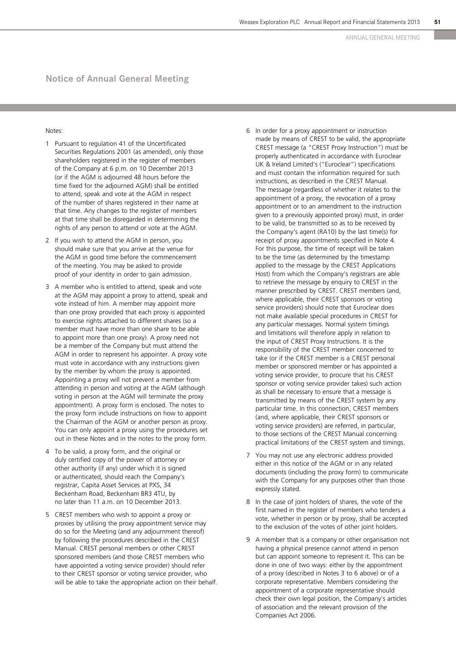# **Notice of Annual General Meeting**

### Notes:

- 1 Pursuant to regulation 41 of the Uncertificated Securities Regulations 2001 (as amended), only those shareholders registered in the register of members of the Company at 6 p.m. on 10 December 2013 (or if the AGM is adjourned 48 hours before the time fixed for the adjourned AGM) shall be entitled to attend, speak and vote at the AGM in respect of the number of shares registered in their name at that time. Any changes to the register of members at that time shall be disregarded in determining the rights of any person to attend or vote at the AGM.
- 2 If you wish to attend the AGM in person, you should make sure that you arrive at the venue for the AGM in good time before the commencement of the meeting. You may be asked to provide proof of your identity in order to gain admission.
- 3 A member who is entitled to attend, speak and vote at the AGM may appoint a proxy to attend, speak and vote instead of him. A member may appoint more than one proxy provided that each proxy is appointed to exercise rights attached to different shares (so a member must have more than one share to be able to appoint more than one proxy). A proxy need not be a member of the Company but must attend the AGM in order to represent his appointer. A proxy vote must vote in accordance with any instructions given by the member by whom the proxy is appointed. Appointing a proxy will not prevent a member from attending in person and voting at the AGM (although voting in person at the AGM will terminate the proxy appointment). A proxy form is enclosed. The notes to the proxy form include instructions on how to appoint the Chairman of the AGM or another person as proxy. You can only appoint a proxy using the procedures set out in these Notes and in the notes to the proxy form.
- 4 To be valid, a proxy form, and the original or duly certified copy of the power of attorney or other authority (if any) under which it is signed or authenticated, should reach the Company's registrar, Capita Asset Services at PXS, 34 Beckenham Road, Beckenham BR3 4TU, by no later than 11 a.m. on 10 December 2013.
- 5 CREST members who wish to appoint a proxy or proxies by utilising the proxy appointment service may do so for the Meeting (and any adjournment thereof) by following the procedures described in the CREST Manual. CREST personal members or other CREST sponsored members (and those CREST members who have appointed a voting service provider) should refer to their CREST sponsor or voting service provider, who will be able to take the appropriate action on their behalf.
- 6 In order for a proxy appointment or instruction made by means of CREST to be valid, the appropriate CREST message (a "CREST Proxy Instruction") must be properly authenticated in accordance with Euroclear UK & Ireland Limited's ("Euroclear") specifications and must contain the information required for such instructions, as described in the CREST Manual. The message (regardless of whether it relates to the appointment of a proxy, the revocation of a proxy appointment or to an amendment to the instruction given to a previously appointed proxy) must, in order to be valid, be transmitted so as to be received by the Company's agent (RA10) by the last time(s) for receipt of proxy appointments specified in Note 4. For this purpose, the time of receipt will be taken to be the time (as determined by the timestamp applied to the message by the CREST Applications Host) from which the Company's registrars are able to retrieve the message by enquiry to CREST in the manner prescribed by CREST. CREST members (and, where applicable, their CREST sponsors or voting service providers) should note that Euroclear does not make available special procedures in CREST for any particular messages. Normal system timings and limitations will therefore apply in relation to the input of CREST Proxy Instructions. It is the responsibility of the CREST member concerned to take (or if the CREST member is a CREST personal member or sponsored member or has appointed a voting service provider, to procure that his CREST sponsor or voting service provider takes) such action as shall be necessary to ensure that a message is transmitted by means of the CREST system by any particular time. In this connection, CREST members (and, where applicable, their CREST sponsors or voting service providers) are referred, in particular, to those sections of the CREST Manual concerning practical limitations of the CREST system and timings.
- 7 You may not use any electronic address provided either in this notice of the AGM or in any related documents (including the proxy form) to communicate with the Company for any purposes other than those expressly stated.
- 8 In the case of joint holders of shares, the vote of the first named in the register of members who tenders a vote, whether in person or by proxy, shall be accepted to the exclusion of the votes of other joint holders.
- 9 A member that is a company or other organisation not having a physical presence cannot attend in person but can appoint someone to represent it. This can be done in one of two ways: either by the appointment of a proxy (described in Notes 3 to 6 above) or of a corporate representative. Members considering the appointment of a corporate representative should check their own legal position, the Company's articles of association and the relevant provision of the Companies Act 2006.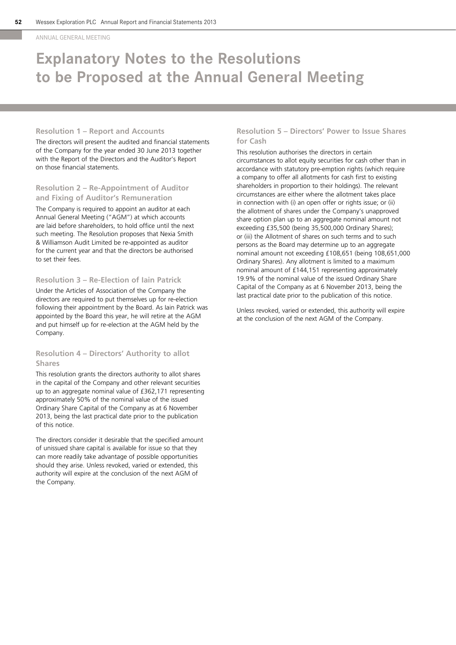ANNUAL GENERAL MEETING

# **Explanatory Notes to the Resolutions to be Proposed at the Annual General Meeting**

## **Resolution 1 – Report and Accounts**

The directors will present the audited and financial statements of the Company for the year ended 30 June 2013 together with the Report of the Directors and the Auditor's Report on those financial statements.

# **Resolution 2 – Re-Appointment of Auditor and Fixing of Auditor's Remuneration**

The Company is required to appoint an auditor at each Annual General Meeting ("AGM") at which accounts are laid before shareholders, to hold office until the next such meeting. The Resolution proposes that Nexia Smith & Williamson Audit Limited be re-appointed as auditor for the current year and that the directors be authorised to set their fees.

# **Resolution 3 – Re-Election of Iain Patrick**

Under the Articles of Association of the Company the directors are required to put themselves up for re-election following their appointment by the Board. As Iain Patrick was appointed by the Board this year, he will retire at the AGM and put himself up for re-election at the AGM held by the Company.

# **Resolution 4 – Directors' Authority to allot Shares**

This resolution grants the directors authority to allot shares in the capital of the Company and other relevant securities up to an aggregate nominal value of £362,171 representing approximately 50% of the nominal value of the issued Ordinary Share Capital of the Company as at 6 November 2013, being the last practical date prior to the publication of this notice.

The directors consider it desirable that the specified amount of unissued share capital is available for issue so that they can more readily take advantage of possible opportunities should they arise. Unless revoked, varied or extended, this authority will expire at the conclusion of the next AGM of the Company.

# **Resolution 5 – Directors' Power to Issue Shares for Cash**

This resolution authorises the directors in certain circumstances to allot equity securities for cash other than in accordance with statutory pre-emption rights (which require a company to offer all allotments for cash first to existing shareholders in proportion to their holdings). The relevant circumstances are either where the allotment takes place in connection with (i) an open offer or rights issue; or (ii) the allotment of shares under the Company's unapproved share option plan up to an aggregate nominal amount not exceeding £35,500 (being 35,500,000 Ordinary Shares); or (iii) the Allotment of shares on such terms and to such persons as the Board may determine up to an aggregate nominal amount not exceeding £108,651 (being 108,651,000 Ordinary Shares). Any allotment is limited to a maximum nominal amount of £144,151 representing approximately 19.9% of the nominal value of the issued Ordinary Share Capital of the Company as at 6 November 2013, being the last practical date prior to the publication of this notice.

Unless revoked, varied or extended, this authority will expire at the conclusion of the next AGM of the Company.